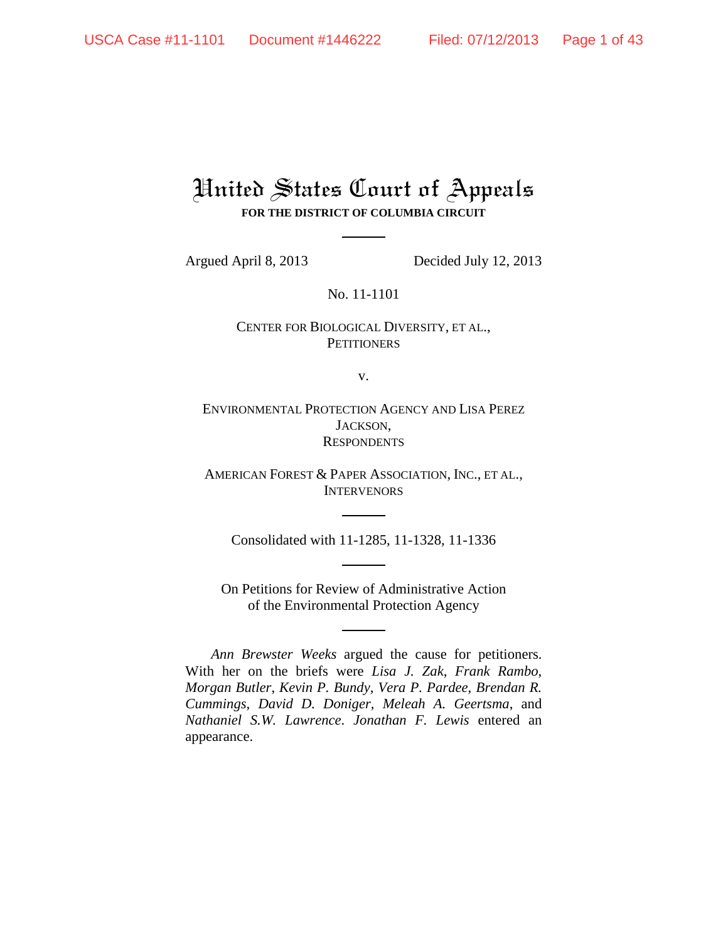# United States Court of Appeals **FOR THE DISTRICT OF COLUMBIA CIRCUIT**

Argued April 8, 2013 Decided July 12, 2013

No. 11-1101

CENTER FOR BIOLOGICAL DIVERSITY, ET AL., **PETITIONERS** 

v.

ENVIRONMENTAL PROTECTION AGENCY AND LISA PEREZ JACKSON, **RESPONDENTS** 

AMERICAN FOREST & PAPER ASSOCIATION, INC., ET AL., **INTERVENORS** 

Consolidated with 11-1285, 11-1328, 11-1336

On Petitions for Review of Administrative Action of the Environmental Protection Agency

*Ann Brewster Weeks* argued the cause for petitioners. With her on the briefs were *Lisa J. Zak*, *Frank Rambo*, *Morgan Butler*, *Kevin P. Bundy*, *Vera P. Pardee*, *Brendan R. Cummings*, *David D. Doniger*, *Meleah A. Geertsma*, and *Nathaniel S.W. Lawrence*. *Jonathan F. Lewis* entered an appearance.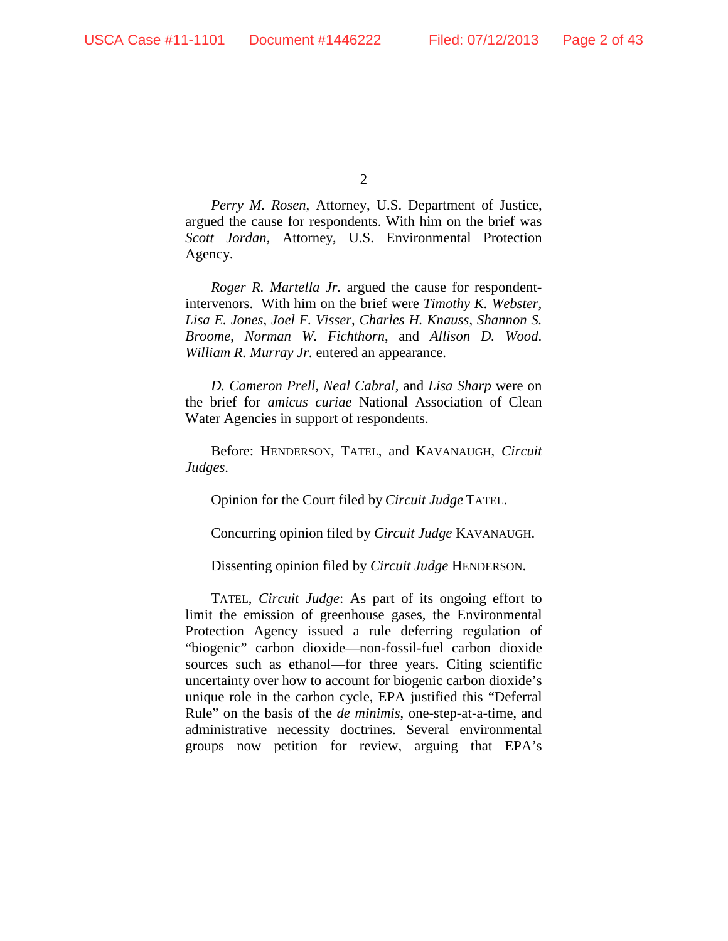$\mathcal{L}$ 

*Perry M. Rosen*, Attorney, U.S. Department of Justice, argued the cause for respondents. With him on the brief was *Scott Jordan*, Attorney, U.S. Environmental Protection Agency.

*Roger R. Martella Jr.* argued the cause for respondentintervenors. With him on the brief were *Timothy K. Webster*, *Lisa E. Jones*, *Joel F. Visser*, *Charles H. Knauss*, *Shannon S. Broome*, *Norman W. Fichthorn*, and *Allison D. Wood*. *William R. Murray Jr.* entered an appearance.

*D. Cameron Prell*, *Neal Cabral*, and *Lisa Sharp* were on the brief for *amicus curiae* National Association of Clean Water Agencies in support of respondents.

Before: HENDERSON, TATEL, and KAVANAUGH, *Circuit Judges*.

Opinion for the Court filed by *Circuit Judge* TATEL.

Concurring opinion filed by *Circuit Judge* KAVANAUGH.

Dissenting opinion filed by *Circuit Judge* HENDERSON.

TATEL, *Circuit Judge*: As part of its ongoing effort to limit the emission of greenhouse gases, the Environmental Protection Agency issued a rule deferring regulation of "biogenic" carbon dioxide—non-fossil-fuel carbon dioxide sources such as ethanol—for three years. Citing scientific uncertainty over how to account for biogenic carbon dioxide's unique role in the carbon cycle, EPA justified this "Deferral Rule" on the basis of the *de minimis*, one-step-at-a-time, and administrative necessity doctrines. Several environmental groups now petition for review, arguing that EPA's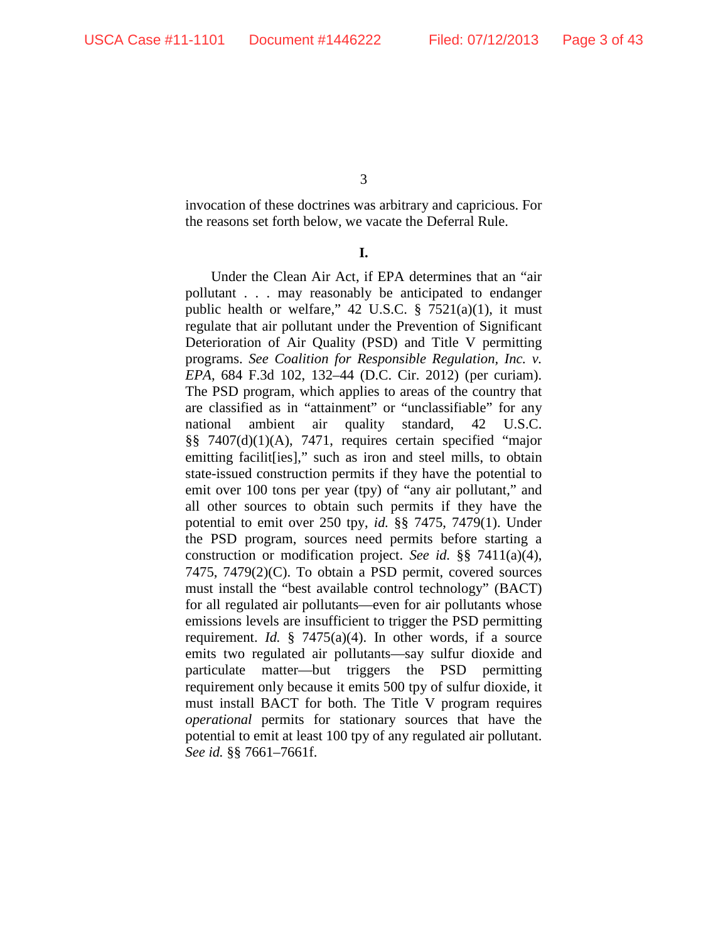invocation of these doctrines was arbitrary and capricious. For the reasons set forth below, we vacate the Deferral Rule.

# **I.**

Under the Clean Air Act, if EPA determines that an "air pollutant . . . may reasonably be anticipated to endanger public health or welfare,"  $42 \text{ U.S.C. }$   $\S$   $7521(a)(1)$ , it must regulate that air pollutant under the Prevention of Significant Deterioration of Air Quality (PSD) and Title V permitting programs. *See Coalition for Responsible Regulation, Inc. v. EPA*, 684 F.3d 102, 132–44 (D.C. Cir. 2012) (per curiam). The PSD program, which applies to areas of the country that are classified as in "attainment" or "unclassifiable" for any national ambient air quality standard, 42 U.S.C. §§ 7407(d)(1)(A), 7471, requires certain specified "major emitting facilit [ies]," such as iron and steel mills, to obtain state-issued construction permits if they have the potential to emit over 100 tons per year (tpy) of "any air pollutant," and all other sources to obtain such permits if they have the potential to emit over 250 tpy, *id.* §§ 7475, 7479(1). Under the PSD program, sources need permits before starting a construction or modification project. *See id.* §§ 7411(a)(4), 7475, 7479(2)(C). To obtain a PSD permit, covered sources must install the "best available control technology" (BACT) for all regulated air pollutants—even for air pollutants whose emissions levels are insufficient to trigger the PSD permitting requirement. *Id.* § 7475(a)(4). In other words, if a source emits two regulated air pollutants—say sulfur dioxide and particulate matter—but triggers the PSD permitting requirement only because it emits 500 tpy of sulfur dioxide, it must install BACT for both. The Title V program requires *operational* permits for stationary sources that have the potential to emit at least 100 tpy of any regulated air pollutant. *See id.* §§ 7661–7661f.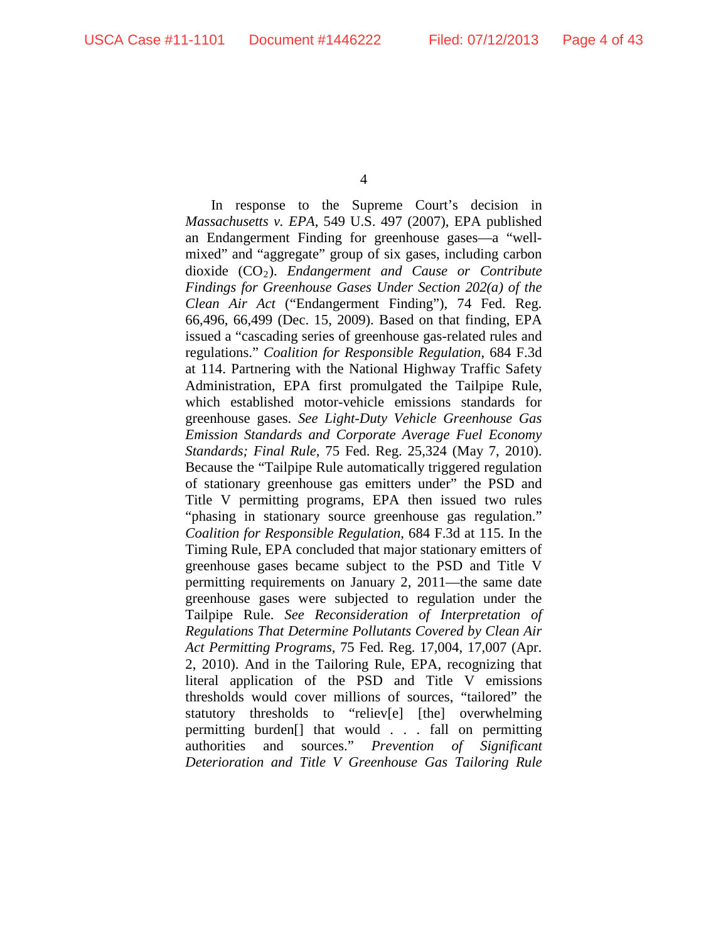In response to the Supreme Court's decision in *Massachusetts v. EPA*, 549 U.S. 497 (2007), EPA published an Endangerment Finding for greenhouse gases—a "wellmixed" and "aggregate" group of six gases, including carbon dioxide (CO2). *Endangerment and Cause or Contribute Findings for Greenhouse Gases Under Section 202(a) of the Clean Air Act* ("Endangerment Finding"), 74 Fed. Reg. 66,496, 66,499 (Dec. 15, 2009). Based on that finding, EPA issued a "cascading series of greenhouse gas-related rules and regulations." *Coalition for Responsible Regulation*, 684 F.3d at 114. Partnering with the National Highway Traffic Safety Administration, EPA first promulgated the Tailpipe Rule, which established motor-vehicle emissions standards for greenhouse gases. *See Light-Duty Vehicle Greenhouse Gas Emission Standards and Corporate Average Fuel Economy Standards; Final Rule*, 75 Fed. Reg. 25,324 (May 7, 2010). Because the "Tailpipe Rule automatically triggered regulation of stationary greenhouse gas emitters under" the PSD and Title V permitting programs, EPA then issued two rules "phasing in stationary source greenhouse gas regulation." *Coalition for Responsible Regulation*, 684 F.3d at 115. In the Timing Rule, EPA concluded that major stationary emitters of greenhouse gases became subject to the PSD and Title V permitting requirements on January 2, 2011—the same date greenhouse gases were subjected to regulation under the Tailpipe Rule. *See Reconsideration of Interpretation of Regulations That Determine Pollutants Covered by Clean Air Act Permitting Programs*, 75 Fed. Reg. 17,004, 17,007 (Apr. 2, 2010). And in the Tailoring Rule, EPA, recognizing that literal application of the PSD and Title V emissions thresholds would cover millions of sources, "tailored" the statutory thresholds to "reliev[e] [the] overwhelming permitting burden[] that would . . . fall on permitting authorities and sources." *Prevention of Significant Deterioration and Title V Greenhouse Gas Tailoring Rule*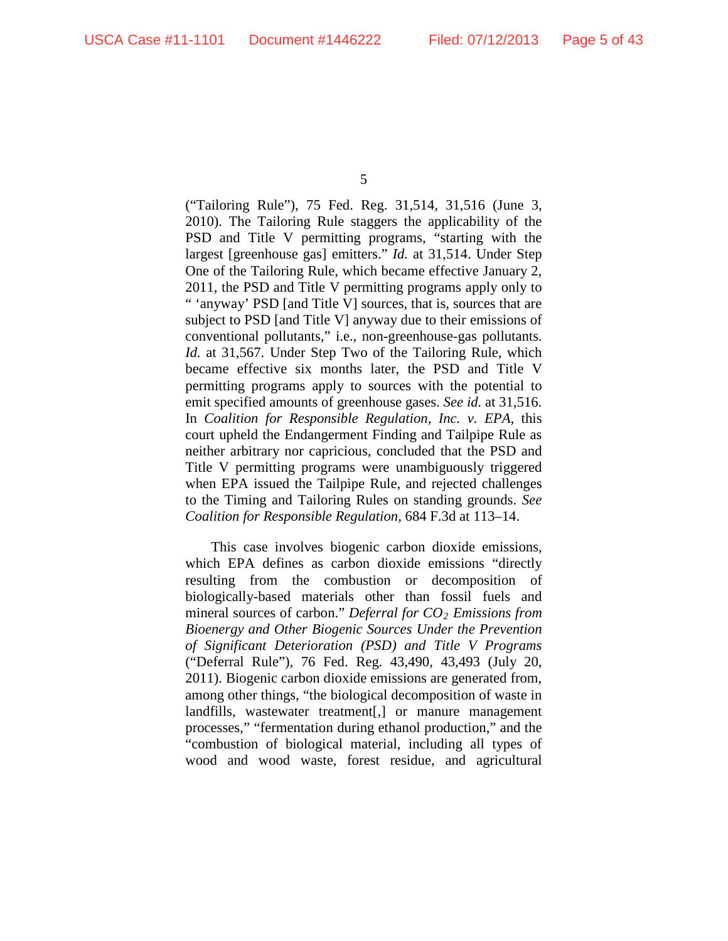("Tailoring Rule"), 75 Fed. Reg. 31,514, 31,516 (June 3, 2010). The Tailoring Rule staggers the applicability of the PSD and Title V permitting programs, "starting with the largest [greenhouse gas] emitters." *Id.* at 31,514. Under Step One of the Tailoring Rule, which became effective January 2, 2011, the PSD and Title V permitting programs apply only to " 'anyway' PSD [and Title V] sources, that is, sources that are subject to PSD [and Title V] anyway due to their emissions of conventional pollutants," i.e., non-greenhouse-gas pollutants. *Id.* at 31,567. Under Step Two of the Tailoring Rule, which became effective six months later, the PSD and Title V permitting programs apply to sources with the potential to emit specified amounts of greenhouse gases. *See id.* at 31,516. In *Coalition for Responsible Regulation, Inc. v. EPA*, this court upheld the Endangerment Finding and Tailpipe Rule as neither arbitrary nor capricious, concluded that the PSD and Title V permitting programs were unambiguously triggered when EPA issued the Tailpipe Rule, and rejected challenges to the Timing and Tailoring Rules on standing grounds. *See Coalition for Responsible Regulation*, 684 F.3d at 113–14.

This case involves biogenic carbon dioxide emissions, which EPA defines as carbon dioxide emissions "directly resulting from the combustion or decomposition of biologically-based materials other than fossil fuels and mineral sources of carbon." *Deferral for CO<sub>2</sub> Emissions from Bioenergy and Other Biogenic Sources Under the Prevention of Significant Deterioration (PSD) and Title V Programs*  ("Deferral Rule"), 76 Fed. Reg. 43,490, 43,493 (July 20, 2011). Biogenic carbon dioxide emissions are generated from, among other things, "the biological decomposition of waste in landfills, wastewater treatment[,] or manure management processes," "fermentation during ethanol production," and the "combustion of biological material, including all types of wood and wood waste, forest residue, and agricultural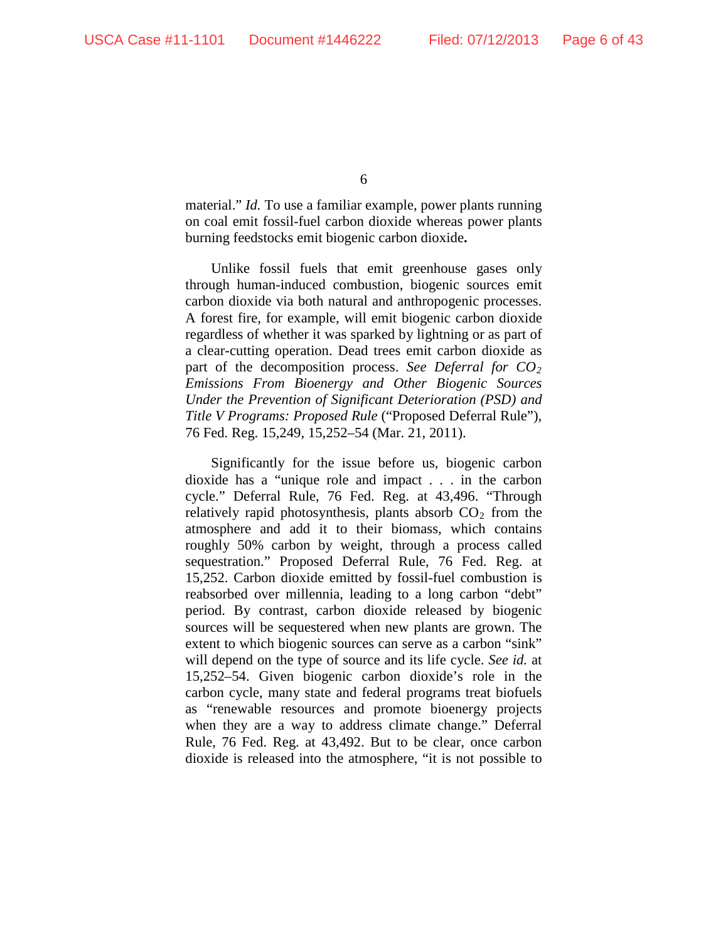material." *Id.* To use a familiar example, power plants running on coal emit fossil-fuel carbon dioxide whereas power plants burning feedstocks emit biogenic carbon dioxide**.**

Unlike fossil fuels that emit greenhouse gases only through human-induced combustion, biogenic sources emit carbon dioxide via both natural and anthropogenic processes. A forest fire, for example, will emit biogenic carbon dioxide regardless of whether it was sparked by lightning or as part of a clear-cutting operation. Dead trees emit carbon dioxide as part of the decomposition process. *See Deferral for CO2 Emissions From Bioenergy and Other Biogenic Sources Under the Prevention of Significant Deterioration (PSD) and Title V Programs: Proposed Rule* ("Proposed Deferral Rule"), 76 Fed. Reg. 15,249, 15,252–54 (Mar. 21, 2011).

Significantly for the issue before us, biogenic carbon dioxide has a "unique role and impact . . . in the carbon cycle." Deferral Rule, 76 Fed. Reg. at 43,496. "Through relatively rapid photosynthesis, plants absorb  $CO<sub>2</sub>$  from the atmosphere and add it to their biomass, which contains roughly 50% carbon by weight, through a process called sequestration." Proposed Deferral Rule, 76 Fed. Reg. at 15,252. Carbon dioxide emitted by fossil-fuel combustion is reabsorbed over millennia, leading to a long carbon "debt" period. By contrast, carbon dioxide released by biogenic sources will be sequestered when new plants are grown. The extent to which biogenic sources can serve as a carbon "sink" will depend on the type of source and its life cycle. *See id.* at 15,252–54. Given biogenic carbon dioxide's role in the carbon cycle, many state and federal programs treat biofuels as "renewable resources and promote bioenergy projects when they are a way to address climate change." Deferral Rule, 76 Fed. Reg. at 43,492. But to be clear, once carbon dioxide is released into the atmosphere, "it is not possible to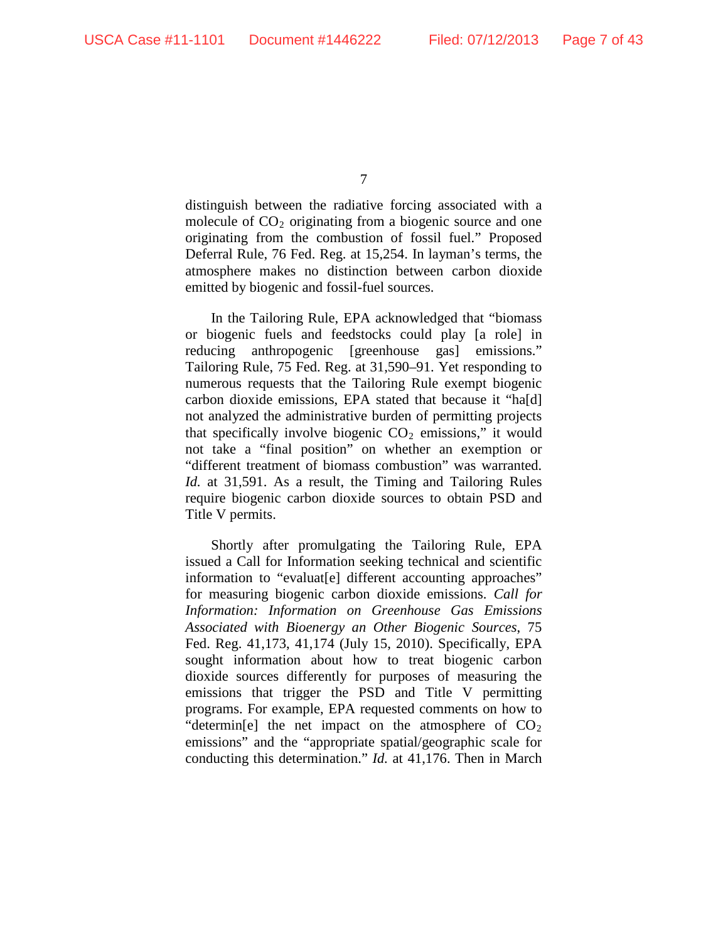distinguish between the radiative forcing associated with a molecule of  $CO<sub>2</sub>$  originating from a biogenic source and one originating from the combustion of fossil fuel." Proposed Deferral Rule, 76 Fed. Reg. at 15,254. In layman's terms, the atmosphere makes no distinction between carbon dioxide emitted by biogenic and fossil-fuel sources.

In the Tailoring Rule, EPA acknowledged that "biomass or biogenic fuels and feedstocks could play [a role] in reducing anthropogenic [greenhouse gas] emissions." Tailoring Rule, 75 Fed. Reg. at 31,590–91. Yet responding to numerous requests that the Tailoring Rule exempt biogenic carbon dioxide emissions, EPA stated that because it "ha[d] not analyzed the administrative burden of permitting projects that specifically involve biogenic  $CO<sub>2</sub>$  emissions," it would not take a "final position" on whether an exemption or "different treatment of biomass combustion" was warranted. *Id.* at 31,591. As a result, the Timing and Tailoring Rules require biogenic carbon dioxide sources to obtain PSD and Title V permits.

Shortly after promulgating the Tailoring Rule, EPA issued a Call for Information seeking technical and scientific information to "evaluat[e] different accounting approaches" for measuring biogenic carbon dioxide emissions. *Call for Information: Information on Greenhouse Gas Emissions Associated with Bioenergy an Other Biogenic Sources*, 75 Fed. Reg. 41,173, 41,174 (July 15, 2010). Specifically, EPA sought information about how to treat biogenic carbon dioxide sources differently for purposes of measuring the emissions that trigger the PSD and Title V permitting programs. For example, EPA requested comments on how to "determin[e] the net impact on the atmosphere of  $CO<sub>2</sub>$ emissions" and the "appropriate spatial/geographic scale for conducting this determination." *Id.* at 41,176. Then in March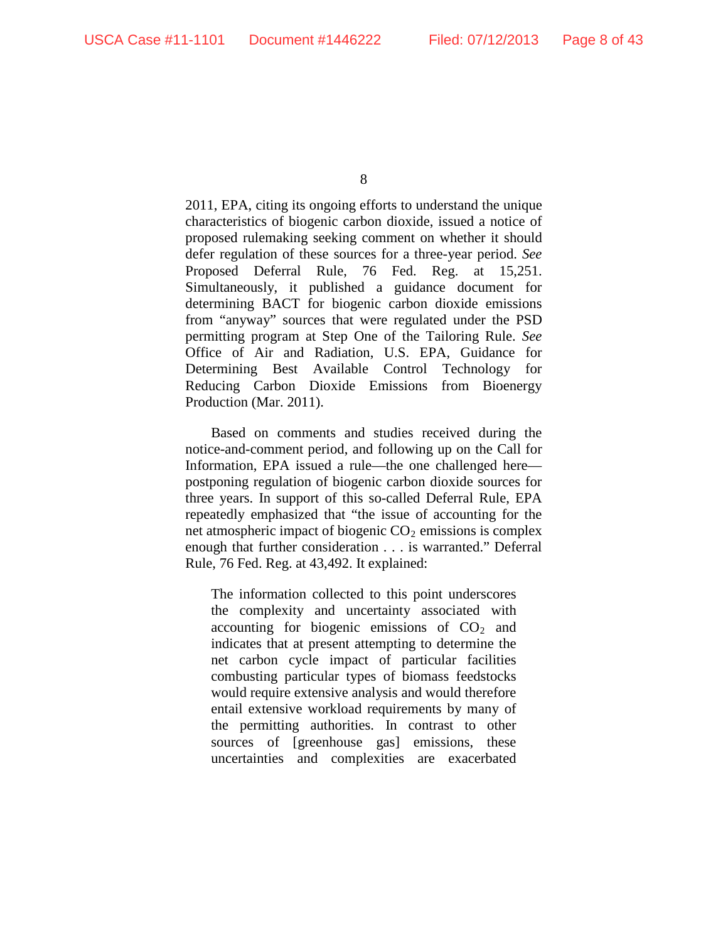2011, EPA, citing its ongoing efforts to understand the unique characteristics of biogenic carbon dioxide, issued a notice of proposed rulemaking seeking comment on whether it should defer regulation of these sources for a three-year period. *See* Proposed Deferral Rule, 76 Fed. Reg. at 15,251. Simultaneously, it published a guidance document for determining BACT for biogenic carbon dioxide emissions from "anyway" sources that were regulated under the PSD permitting program at Step One of the Tailoring Rule. *See*  Office of Air and Radiation, U.S. EPA, Guidance for Determining Best Available Control Technology for Reducing Carbon Dioxide Emissions from Bioenergy Production (Mar. 2011).

Based on comments and studies received during the notice-and-comment period, and following up on the Call for Information, EPA issued a rule—the one challenged here postponing regulation of biogenic carbon dioxide sources for three years. In support of this so-called Deferral Rule, EPA repeatedly emphasized that "the issue of accounting for the net atmospheric impact of biogenic  $CO<sub>2</sub>$  emissions is complex enough that further consideration . . . is warranted." Deferral Rule, 76 Fed. Reg. at 43,492. It explained:

The information collected to this point underscores the complexity and uncertainty associated with accounting for biogenic emissions of  $CO<sub>2</sub>$  and indicates that at present attempting to determine the net carbon cycle impact of particular facilities combusting particular types of biomass feedstocks would require extensive analysis and would therefore entail extensive workload requirements by many of the permitting authorities. In contrast to other sources of [greenhouse gas] emissions, these uncertainties and complexities are exacerbated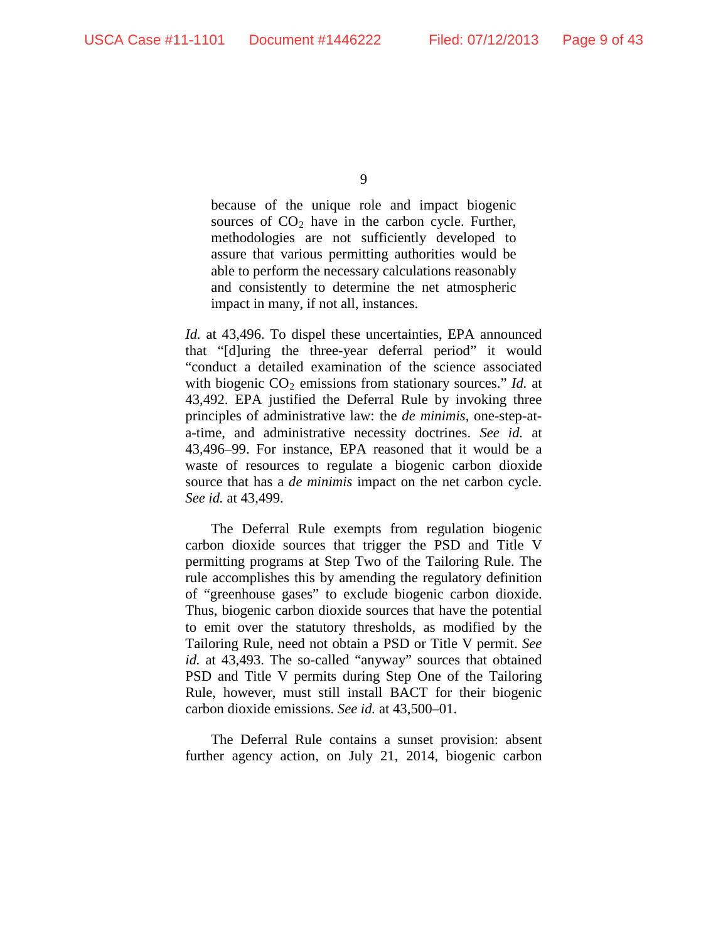because of the unique role and impact biogenic sources of  $CO<sub>2</sub>$  have in the carbon cycle. Further, methodologies are not sufficiently developed to assure that various permitting authorities would be able to perform the necessary calculations reasonably and consistently to determine the net atmospheric impact in many, if not all, instances.

*Id.* at 43,496. To dispel these uncertainties, EPA announced that "[d]uring the three-year deferral period" it would "conduct a detailed examination of the science associated with biogenic  $CO_2$  emissions from stationary sources." *Id.* at 43,492. EPA justified the Deferral Rule by invoking three principles of administrative law: the *de minimis*, one-step-ata-time, and administrative necessity doctrines. *See id.* at 43,496–99. For instance, EPA reasoned that it would be a waste of resources to regulate a biogenic carbon dioxide source that has a *de minimis* impact on the net carbon cycle. *See id.* at 43,499.

The Deferral Rule exempts from regulation biogenic carbon dioxide sources that trigger the PSD and Title V permitting programs at Step Two of the Tailoring Rule. The rule accomplishes this by amending the regulatory definition of "greenhouse gases" to exclude biogenic carbon dioxide. Thus, biogenic carbon dioxide sources that have the potential to emit over the statutory thresholds, as modified by the Tailoring Rule, need not obtain a PSD or Title V permit. *See id.* at 43,493. The so-called "anyway" sources that obtained PSD and Title V permits during Step One of the Tailoring Rule, however, must still install BACT for their biogenic carbon dioxide emissions. *See id.* at 43,500–01.

The Deferral Rule contains a sunset provision: absent further agency action, on July 21, 2014, biogenic carbon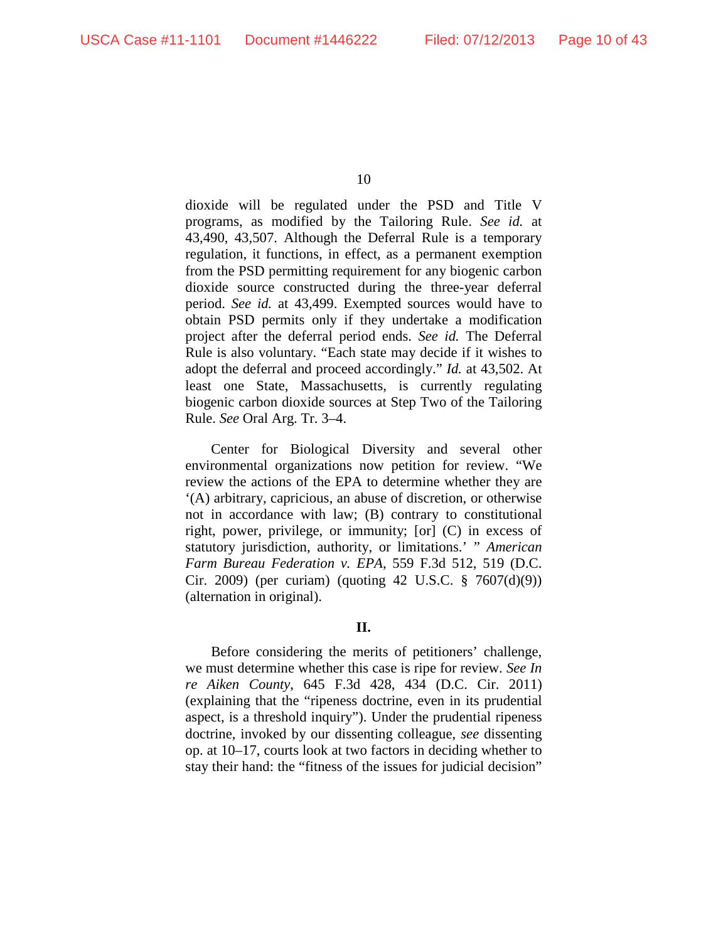dioxide will be regulated under the PSD and Title V programs, as modified by the Tailoring Rule. *See id.* at 43,490, 43,507. Although the Deferral Rule is a temporary regulation, it functions, in effect, as a permanent exemption from the PSD permitting requirement for any biogenic carbon dioxide source constructed during the three-year deferral period. *See id.* at 43,499. Exempted sources would have to obtain PSD permits only if they undertake a modification project after the deferral period ends. *See id.* The Deferral Rule is also voluntary. "Each state may decide if it wishes to adopt the deferral and proceed accordingly." *Id.* at 43,502. At least one State, Massachusetts, is currently regulating biogenic carbon dioxide sources at Step Two of the Tailoring Rule. *See* Oral Arg. Tr. 3–4.

Center for Biological Diversity and several other environmental organizations now petition for review. "We review the actions of the EPA to determine whether they are '(A) arbitrary, capricious, an abuse of discretion, or otherwise not in accordance with law; (B) contrary to constitutional right, power, privilege, or immunity; [or] (C) in excess of statutory jurisdiction, authority, or limitations.' " *American Farm Bureau Federation v. EPA*, 559 F.3d 512, 519 (D.C. Cir. 2009) (per curiam) (quoting 42 U.S.C. § 7607(d)(9)) (alternation in original).

## **II.**

Before considering the merits of petitioners' challenge, we must determine whether this case is ripe for review. *See In re Aiken County*, 645 F.3d 428, 434 (D.C. Cir. 2011) (explaining that the "ripeness doctrine, even in its prudential aspect, is a threshold inquiry"). Under the prudential ripeness doctrine, invoked by our dissenting colleague, *see* dissenting op. at 10–17, courts look at two factors in deciding whether to stay their hand: the "fitness of the issues for judicial decision"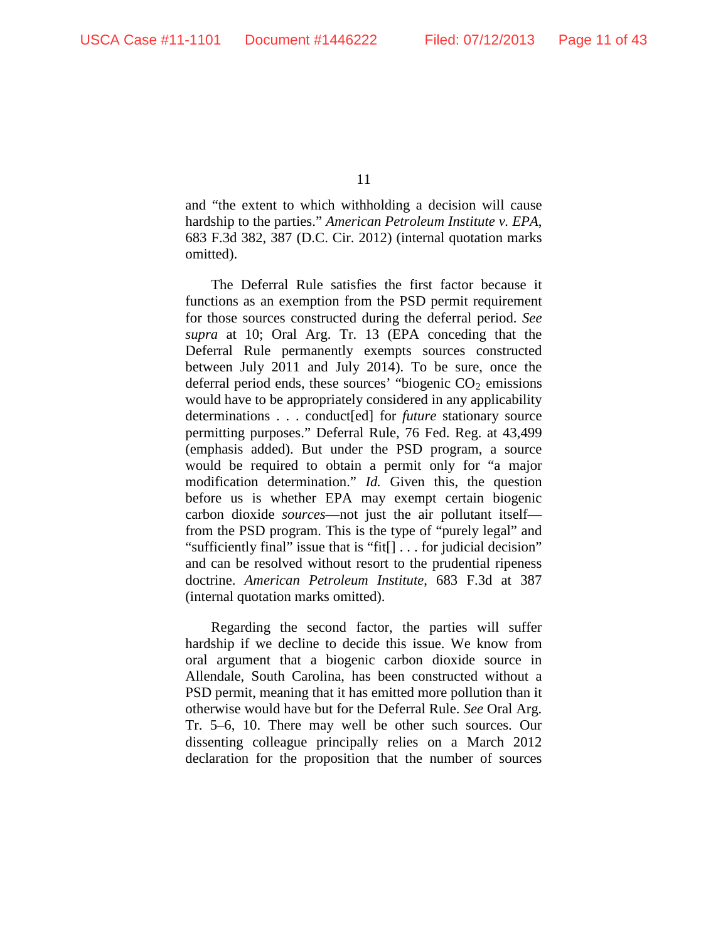and "the extent to which withholding a decision will cause hardship to the parties." *American Petroleum Institute v. EPA*, 683 F.3d 382, 387 (D.C. Cir. 2012) (internal quotation marks omitted).

The Deferral Rule satisfies the first factor because it functions as an exemption from the PSD permit requirement for those sources constructed during the deferral period. *See supra* at 10; Oral Arg. Tr. 13 (EPA conceding that the Deferral Rule permanently exempts sources constructed between July 2011 and July 2014). To be sure, once the deferral period ends, these sources' "biogenic  $CO<sub>2</sub>$  emissions would have to be appropriately considered in any applicability determinations . . . conduct[ed] for *future* stationary source permitting purposes." Deferral Rule, 76 Fed. Reg. at 43,499 (emphasis added). But under the PSD program, a source would be required to obtain a permit only for "a major modification determination." *Id.* Given this, the question before us is whether EPA may exempt certain biogenic carbon dioxide *sources*—not just the air pollutant itself from the PSD program. This is the type of "purely legal" and "sufficiently final" issue that is "fit[] . . . for judicial decision" and can be resolved without resort to the prudential ripeness doctrine. *American Petroleum Institute*, 683 F.3d at 387 (internal quotation marks omitted).

Regarding the second factor, the parties will suffer hardship if we decline to decide this issue. We know from oral argument that a biogenic carbon dioxide source in Allendale, South Carolina, has been constructed without a PSD permit, meaning that it has emitted more pollution than it otherwise would have but for the Deferral Rule. *See* Oral Arg. Tr. 5–6, 10. There may well be other such sources. Our dissenting colleague principally relies on a March 2012 declaration for the proposition that the number of sources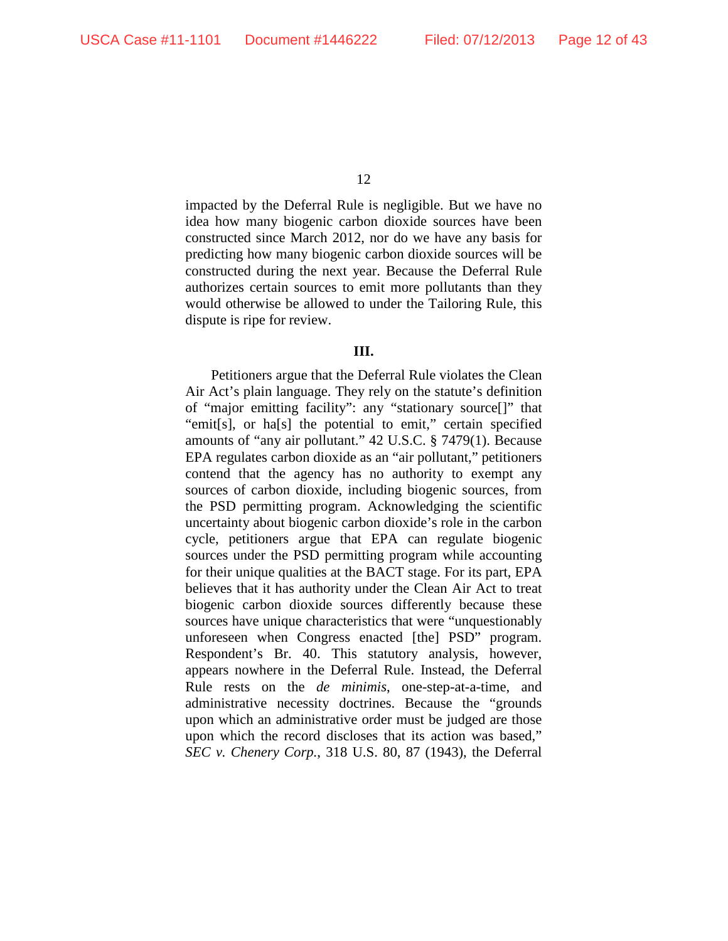impacted by the Deferral Rule is negligible. But we have no idea how many biogenic carbon dioxide sources have been constructed since March 2012, nor do we have any basis for predicting how many biogenic carbon dioxide sources will be constructed during the next year. Because the Deferral Rule authorizes certain sources to emit more pollutants than they would otherwise be allowed to under the Tailoring Rule, this dispute is ripe for review.

#### **III.**

Petitioners argue that the Deferral Rule violates the Clean Air Act's plain language. They rely on the statute's definition of "major emitting facility": any "stationary source[]" that "emit[s], or ha[s] the potential to emit," certain specified amounts of "any air pollutant." 42 U.S.C. § 7479(1). Because EPA regulates carbon dioxide as an "air pollutant," petitioners contend that the agency has no authority to exempt any sources of carbon dioxide, including biogenic sources, from the PSD permitting program. Acknowledging the scientific uncertainty about biogenic carbon dioxide's role in the carbon cycle, petitioners argue that EPA can regulate biogenic sources under the PSD permitting program while accounting for their unique qualities at the BACT stage. For its part, EPA believes that it has authority under the Clean Air Act to treat biogenic carbon dioxide sources differently because these sources have unique characteristics that were "unquestionably unforeseen when Congress enacted [the] PSD" program. Respondent's Br. 40. This statutory analysis, however, appears nowhere in the Deferral Rule. Instead, the Deferral Rule rests on the *de minimis*, one-step-at-a-time, and administrative necessity doctrines. Because the "grounds upon which an administrative order must be judged are those upon which the record discloses that its action was based," *SEC v. Chenery Corp.*, 318 U.S. 80, 87 (1943), the Deferral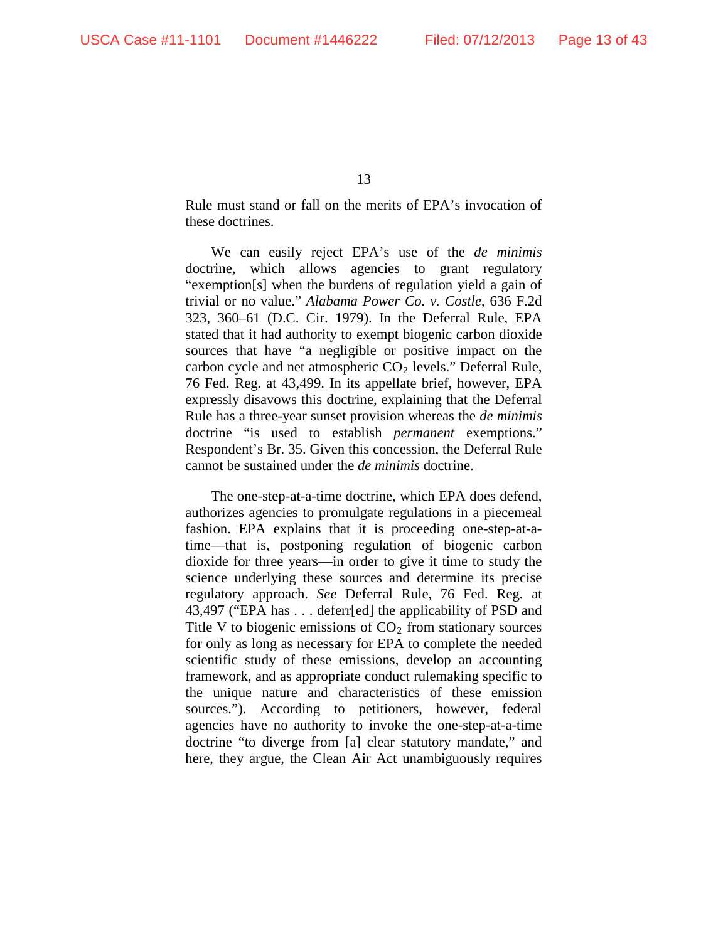Rule must stand or fall on the merits of EPA's invocation of these doctrines.

We can easily reject EPA's use of the *de minimis*  doctrine, which allows agencies to grant regulatory "exemption[s] when the burdens of regulation yield a gain of trivial or no value." *Alabama Power Co. v. Costle*, 636 F.2d 323, 360–61 (D.C. Cir. 1979). In the Deferral Rule, EPA stated that it had authority to exempt biogenic carbon dioxide sources that have "a negligible or positive impact on the carbon cycle and net atmospheric  $CO<sub>2</sub>$  levels." Deferral Rule, 76 Fed. Reg. at 43,499. In its appellate brief, however, EPA expressly disavows this doctrine, explaining that the Deferral Rule has a three-year sunset provision whereas the *de minimis* doctrine "is used to establish *permanent* exemptions." Respondent's Br. 35. Given this concession, the Deferral Rule cannot be sustained under the *de minimis* doctrine.

The one-step-at-a-time doctrine, which EPA does defend, authorizes agencies to promulgate regulations in a piecemeal fashion. EPA explains that it is proceeding one-step-at-atime—that is, postponing regulation of biogenic carbon dioxide for three years—in order to give it time to study the science underlying these sources and determine its precise regulatory approach. *See* Deferral Rule, 76 Fed. Reg. at 43,497 ("EPA has . . . deferr[ed] the applicability of PSD and Title V to biogenic emissions of  $CO<sub>2</sub>$  from stationary sources for only as long as necessary for EPA to complete the needed scientific study of these emissions, develop an accounting framework, and as appropriate conduct rulemaking specific to the unique nature and characteristics of these emission sources."). According to petitioners, however, federal agencies have no authority to invoke the one-step-at-a-time doctrine "to diverge from [a] clear statutory mandate," and here, they argue, the Clean Air Act unambiguously requires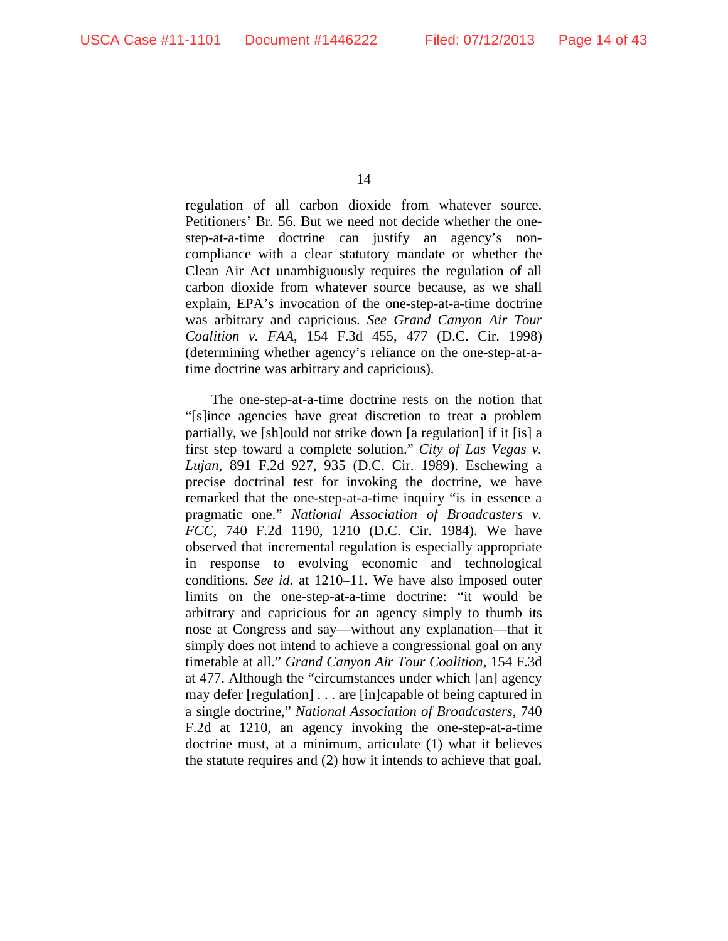regulation of all carbon dioxide from whatever source. Petitioners' Br. 56. But we need not decide whether the onestep-at-a-time doctrine can justify an agency's noncompliance with a clear statutory mandate or whether the Clean Air Act unambiguously requires the regulation of all carbon dioxide from whatever source because, as we shall explain, EPA's invocation of the one-step-at-a-time doctrine was arbitrary and capricious. *See Grand Canyon Air Tour Coalition v. FAA*, 154 F.3d 455, 477 (D.C. Cir. 1998) (determining whether agency's reliance on the one-step-at-atime doctrine was arbitrary and capricious).

The one-step-at-a-time doctrine rests on the notion that "[s]ince agencies have great discretion to treat a problem partially, we [sh]ould not strike down [a regulation] if it [is] a first step toward a complete solution." *City of Las Vegas v. Lujan*, 891 F.2d 927, 935 (D.C. Cir. 1989). Eschewing a precise doctrinal test for invoking the doctrine, we have remarked that the one-step-at-a-time inquiry "is in essence a pragmatic one." *National Association of Broadcasters v. FCC*, 740 F.2d 1190, 1210 (D.C. Cir. 1984). We have observed that incremental regulation is especially appropriate in response to evolving economic and technological conditions. *See id.* at 1210–11. We have also imposed outer limits on the one-step-at-a-time doctrine: "it would be arbitrary and capricious for an agency simply to thumb its nose at Congress and say—without any explanation—that it simply does not intend to achieve a congressional goal on any timetable at all." *Grand Canyon Air Tour Coalition*, 154 F.3d at 477. Although the "circumstances under which [an] agency may defer [regulation] . . . are [in]capable of being captured in a single doctrine," *National Association of Broadcasters*, 740 F.2d at 1210, an agency invoking the one-step-at-a-time doctrine must, at a minimum, articulate (1) what it believes the statute requires and (2) how it intends to achieve that goal.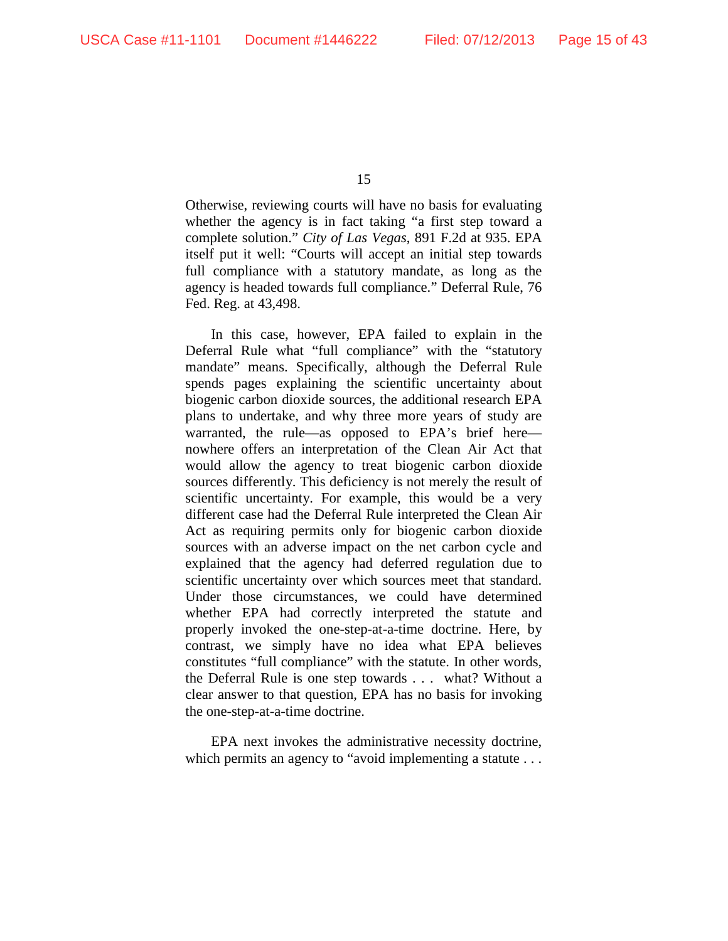Otherwise, reviewing courts will have no basis for evaluating whether the agency is in fact taking "a first step toward a complete solution." *City of Las Vegas*, 891 F.2d at 935. EPA itself put it well: "Courts will accept an initial step towards full compliance with a statutory mandate, as long as the agency is headed towards full compliance." Deferral Rule, 76 Fed. Reg. at 43,498.

In this case, however, EPA failed to explain in the Deferral Rule what "full compliance" with the "statutory mandate" means. Specifically, although the Deferral Rule spends pages explaining the scientific uncertainty about biogenic carbon dioxide sources, the additional research EPA plans to undertake, and why three more years of study are warranted, the rule—as opposed to EPA's brief here nowhere offers an interpretation of the Clean Air Act that would allow the agency to treat biogenic carbon dioxide sources differently. This deficiency is not merely the result of scientific uncertainty. For example, this would be a very different case had the Deferral Rule interpreted the Clean Air Act as requiring permits only for biogenic carbon dioxide sources with an adverse impact on the net carbon cycle and explained that the agency had deferred regulation due to scientific uncertainty over which sources meet that standard. Under those circumstances, we could have determined whether EPA had correctly interpreted the statute and properly invoked the one-step-at-a-time doctrine. Here, by contrast, we simply have no idea what EPA believes constitutes "full compliance" with the statute. In other words, the Deferral Rule is one step towards . . . what? Without a clear answer to that question, EPA has no basis for invoking the one-step-at-a-time doctrine.

EPA next invokes the administrative necessity doctrine, which permits an agency to "avoid implementing a statute . . .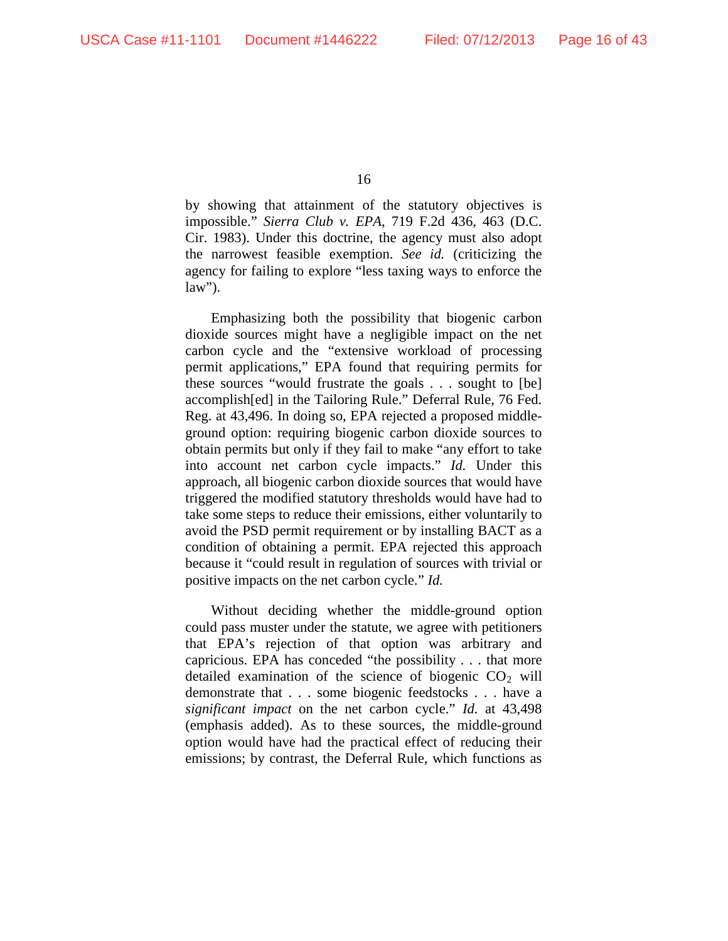by showing that attainment of the statutory objectives is impossible." *Sierra Club v. EPA*, 719 F.2d 436, 463 (D.C. Cir. 1983). Under this doctrine, the agency must also adopt the narrowest feasible exemption. *See id.* (criticizing the agency for failing to explore "less taxing ways to enforce the  $law$ ").

Emphasizing both the possibility that biogenic carbon dioxide sources might have a negligible impact on the net carbon cycle and the "extensive workload of processing permit applications," EPA found that requiring permits for these sources "would frustrate the goals . . . sought to [be] accomplish[ed] in the Tailoring Rule." Deferral Rule, 76 Fed. Reg. at 43,496. In doing so, EPA rejected a proposed middleground option: requiring biogenic carbon dioxide sources to obtain permits but only if they fail to make "any effort to take into account net carbon cycle impacts." *Id.* Under this approach, all biogenic carbon dioxide sources that would have triggered the modified statutory thresholds would have had to take some steps to reduce their emissions, either voluntarily to avoid the PSD permit requirement or by installing BACT as a condition of obtaining a permit. EPA rejected this approach because it "could result in regulation of sources with trivial or positive impacts on the net carbon cycle." *Id.*

Without deciding whether the middle-ground option could pass muster under the statute, we agree with petitioners that EPA's rejection of that option was arbitrary and capricious. EPA has conceded "the possibility . . . that more detailed examination of the science of biogenic  $CO<sub>2</sub>$  will demonstrate that . . . some biogenic feedstocks . . . have a *significant impact* on the net carbon cycle." *Id.* at 43,498 (emphasis added). As to these sources, the middle-ground option would have had the practical effect of reducing their emissions; by contrast, the Deferral Rule, which functions as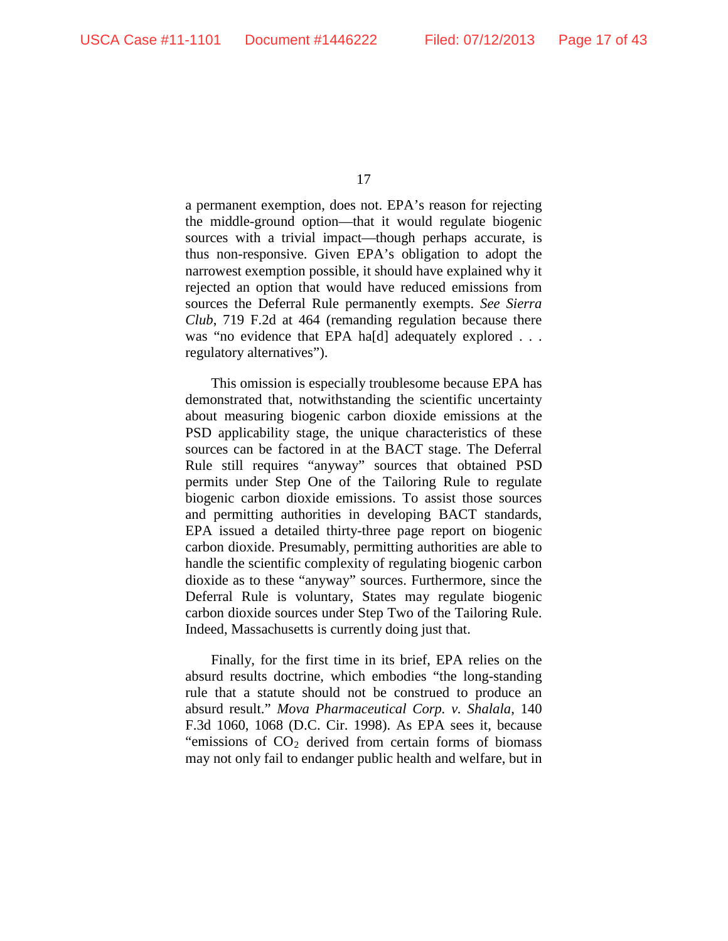a permanent exemption, does not. EPA's reason for rejecting the middle-ground option—that it would regulate biogenic sources with a trivial impact—though perhaps accurate, is thus non-responsive. Given EPA's obligation to adopt the narrowest exemption possible, it should have explained why it rejected an option that would have reduced emissions from sources the Deferral Rule permanently exempts. *See Sierra Club*, 719 F.2d at 464 (remanding regulation because there was "no evidence that EPA ha[d] adequately explored . . . regulatory alternatives").

This omission is especially troublesome because EPA has demonstrated that, notwithstanding the scientific uncertainty about measuring biogenic carbon dioxide emissions at the PSD applicability stage, the unique characteristics of these sources can be factored in at the BACT stage. The Deferral Rule still requires "anyway" sources that obtained PSD permits under Step One of the Tailoring Rule to regulate biogenic carbon dioxide emissions. To assist those sources and permitting authorities in developing BACT standards, EPA issued a detailed thirty-three page report on biogenic carbon dioxide. Presumably, permitting authorities are able to handle the scientific complexity of regulating biogenic carbon dioxide as to these "anyway" sources. Furthermore, since the Deferral Rule is voluntary, States may regulate biogenic carbon dioxide sources under Step Two of the Tailoring Rule. Indeed, Massachusetts is currently doing just that.

Finally, for the first time in its brief, EPA relies on the absurd results doctrine, which embodies "the long-standing rule that a statute should not be construed to produce an absurd result." *Mova Pharmaceutical Corp. v. Shalala*, 140 F.3d 1060, 1068 (D.C. Cir. 1998). As EPA sees it, because "emissions of  $CO<sub>2</sub>$  derived from certain forms of biomass may not only fail to endanger public health and welfare, but in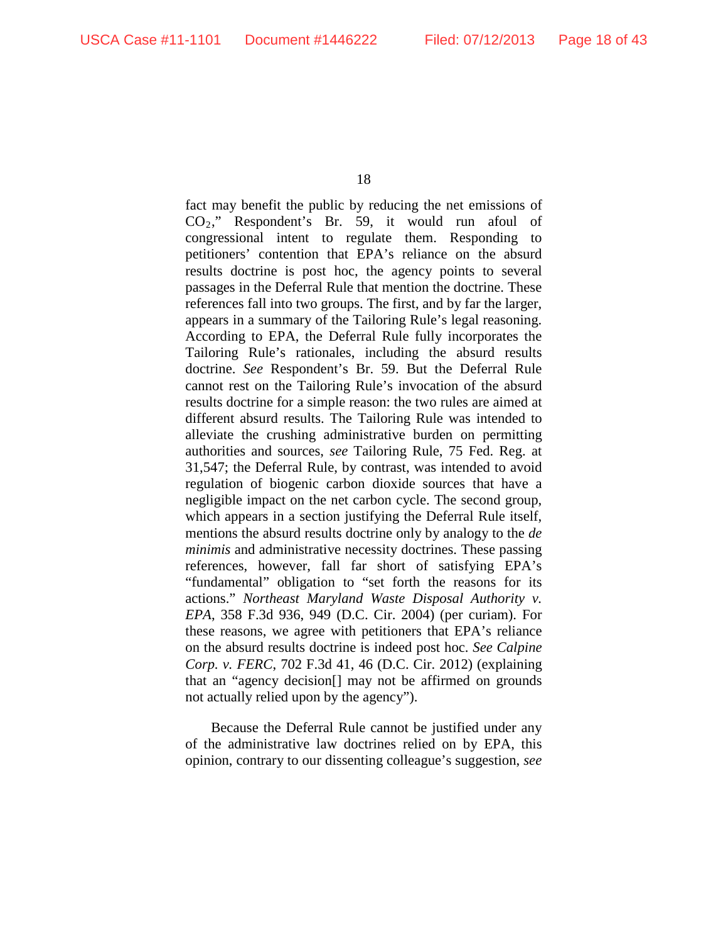fact may benefit the public by reducing the net emissions of CO2," Respondent's Br. 59, it would run afoul of congressional intent to regulate them. Responding to petitioners' contention that EPA's reliance on the absurd results doctrine is post hoc, the agency points to several passages in the Deferral Rule that mention the doctrine. These references fall into two groups. The first, and by far the larger, appears in a summary of the Tailoring Rule's legal reasoning. According to EPA, the Deferral Rule fully incorporates the Tailoring Rule's rationales, including the absurd results doctrine. *See* Respondent's Br. 59. But the Deferral Rule cannot rest on the Tailoring Rule's invocation of the absurd results doctrine for a simple reason: the two rules are aimed at different absurd results. The Tailoring Rule was intended to alleviate the crushing administrative burden on permitting authorities and sources, *see* Tailoring Rule, 75 Fed. Reg. at 31,547; the Deferral Rule, by contrast, was intended to avoid regulation of biogenic carbon dioxide sources that have a negligible impact on the net carbon cycle. The second group, which appears in a section justifying the Deferral Rule itself, mentions the absurd results doctrine only by analogy to the *de minimis* and administrative necessity doctrines. These passing references, however, fall far short of satisfying EPA's "fundamental" obligation to "set forth the reasons for its actions." *Northeast Maryland Waste Disposal Authority v. EPA*, 358 F.3d 936, 949 (D.C. Cir. 2004) (per curiam). For these reasons, we agree with petitioners that EPA's reliance on the absurd results doctrine is indeed post hoc. *See Calpine Corp. v. FERC*, 702 F.3d 41, 46 (D.C. Cir. 2012) (explaining that an "agency decision[] may not be affirmed on grounds not actually relied upon by the agency").

Because the Deferral Rule cannot be justified under any of the administrative law doctrines relied on by EPA, this opinion, contrary to our dissenting colleague's suggestion, *see*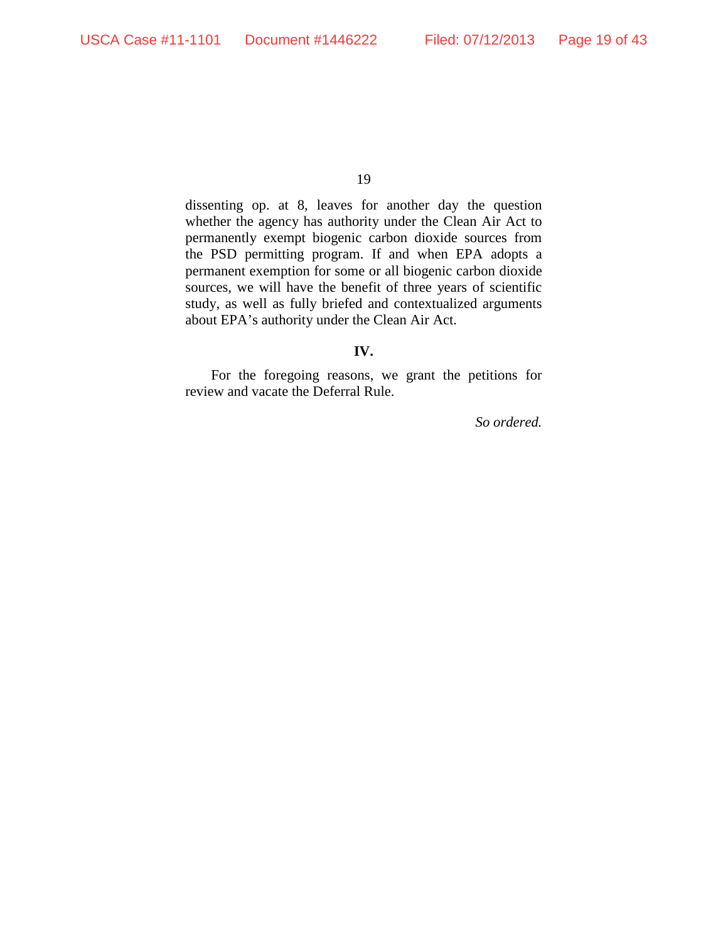dissenting op. at 8, leaves for another day the question whether the agency has authority under the Clean Air Act to permanently exempt biogenic carbon dioxide sources from the PSD permitting program. If and when EPA adopts a permanent exemption for some or all biogenic carbon dioxide sources, we will have the benefit of three years of scientific study, as well as fully briefed and contextualized arguments about EPA's authority under the Clean Air Act.

## **IV.**

For the foregoing reasons, we grant the petitions for review and vacate the Deferral Rule.

*So ordered.*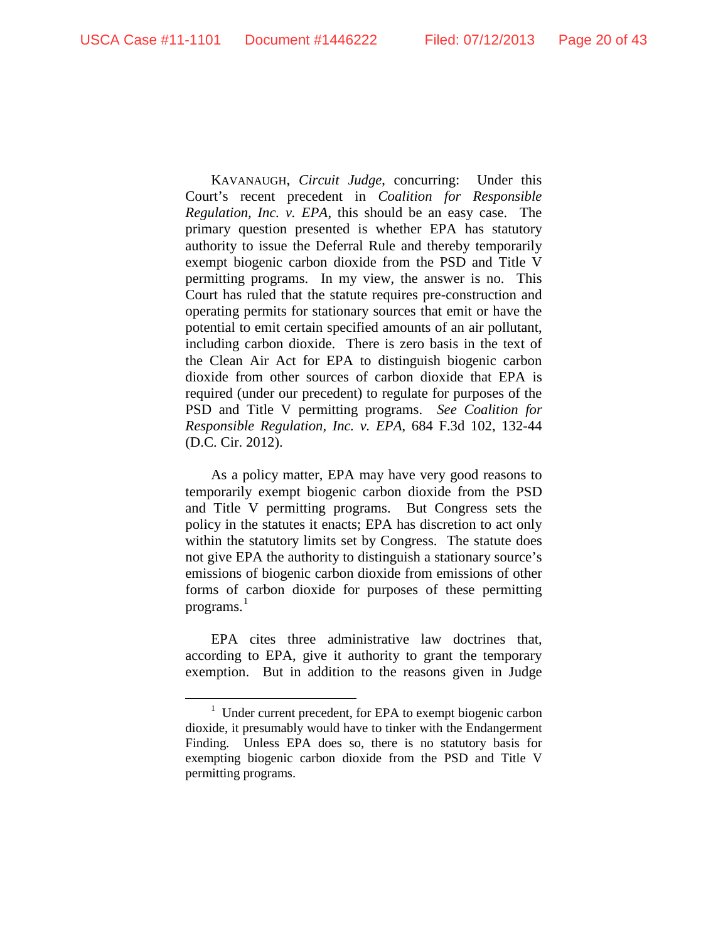KAVANAUGH, *Circuit Judge*, concurring: Under this Court's recent precedent in *Coalition for Responsible Regulation, Inc. v. EPA*, this should be an easy case. The primary question presented is whether EPA has statutory authority to issue the Deferral Rule and thereby temporarily exempt biogenic carbon dioxide from the PSD and Title V permitting programs. In my view, the answer is no. This Court has ruled that the statute requires pre-construction and operating permits for stationary sources that emit or have the potential to emit certain specified amounts of an air pollutant, including carbon dioxide. There is zero basis in the text of the Clean Air Act for EPA to distinguish biogenic carbon dioxide from other sources of carbon dioxide that EPA is required (under our precedent) to regulate for purposes of the PSD and Title V permitting programs. *See Coalition for Responsible Regulation, Inc. v. EPA*, 684 F.3d 102, 132-44 (D.C. Cir. 2012).

As a policy matter, EPA may have very good reasons to temporarily exempt biogenic carbon dioxide from the PSD and Title V permitting programs. But Congress sets the policy in the statutes it enacts; EPA has discretion to act only within the statutory limits set by Congress. The statute does not give EPA the authority to distinguish a stationary source's emissions of biogenic carbon dioxide from emissions of other forms of carbon dioxide for purposes of these permitting programs. [1](#page-19-0)

EPA cites three administrative law doctrines that, according to EPA, give it authority to grant the temporary exemption. But in addition to the reasons given in Judge

<span id="page-19-0"></span> <sup>1</sup> <sup>1</sup> Under current precedent, for EPA to exempt biogenic carbon dioxide, it presumably would have to tinker with the Endangerment Finding. Unless EPA does so, there is no statutory basis for exempting biogenic carbon dioxide from the PSD and Title V permitting programs.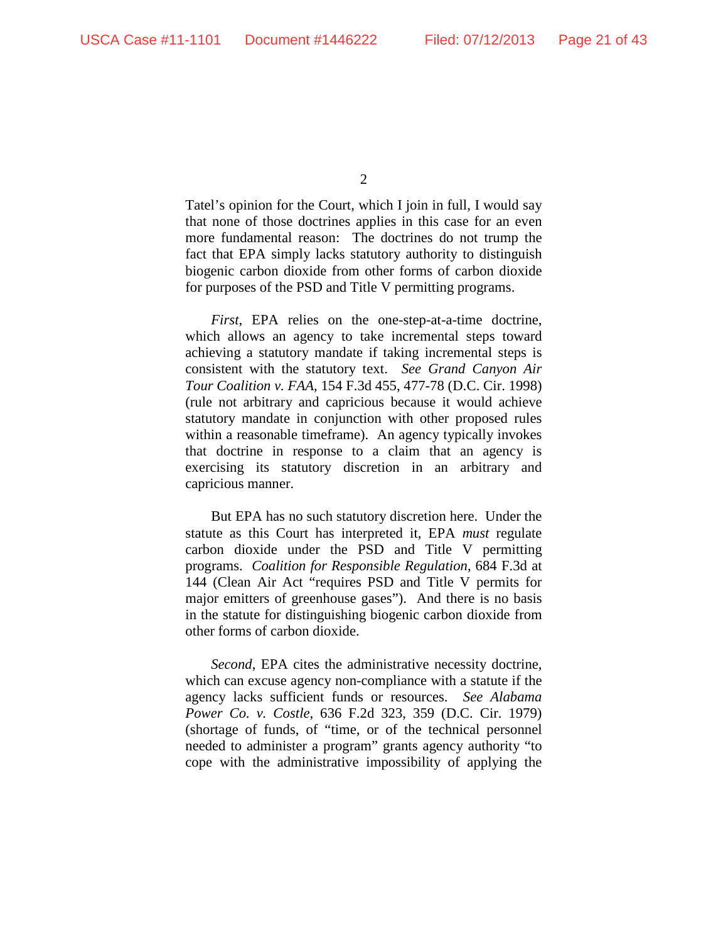$\mathcal{L}$ 

Tatel's opinion for the Court, which I join in full, I would say that none of those doctrines applies in this case for an even more fundamental reason: The doctrines do not trump the fact that EPA simply lacks statutory authority to distinguish biogenic carbon dioxide from other forms of carbon dioxide for purposes of the PSD and Title V permitting programs.

*First*, EPA relies on the one-step-at-a-time doctrine, which allows an agency to take incremental steps toward achieving a statutory mandate if taking incremental steps is consistent with the statutory text. *See Grand Canyon Air Tour Coalition v. FAA*, 154 F.3d 455, 477-78 (D.C. Cir. 1998) (rule not arbitrary and capricious because it would achieve statutory mandate in conjunction with other proposed rules within a reasonable timeframe). An agency typically invokes that doctrine in response to a claim that an agency is exercising its statutory discretion in an arbitrary and capricious manner.

But EPA has no such statutory discretion here. Under the statute as this Court has interpreted it, EPA *must* regulate carbon dioxide under the PSD and Title V permitting programs. *Coalition for Responsible Regulation*, 684 F.3d at 144 (Clean Air Act "requires PSD and Title V permits for major emitters of greenhouse gases"). And there is no basis in the statute for distinguishing biogenic carbon dioxide from other forms of carbon dioxide.

*Second*, EPA cites the administrative necessity doctrine, which can excuse agency non-compliance with a statute if the agency lacks sufficient funds or resources. *See Alabama Power Co. v. Costle*, 636 F.2d 323, 359 (D.C. Cir. 1979) (shortage of funds, of "time, or of the technical personnel needed to administer a program" grants agency authority "to cope with the administrative impossibility of applying the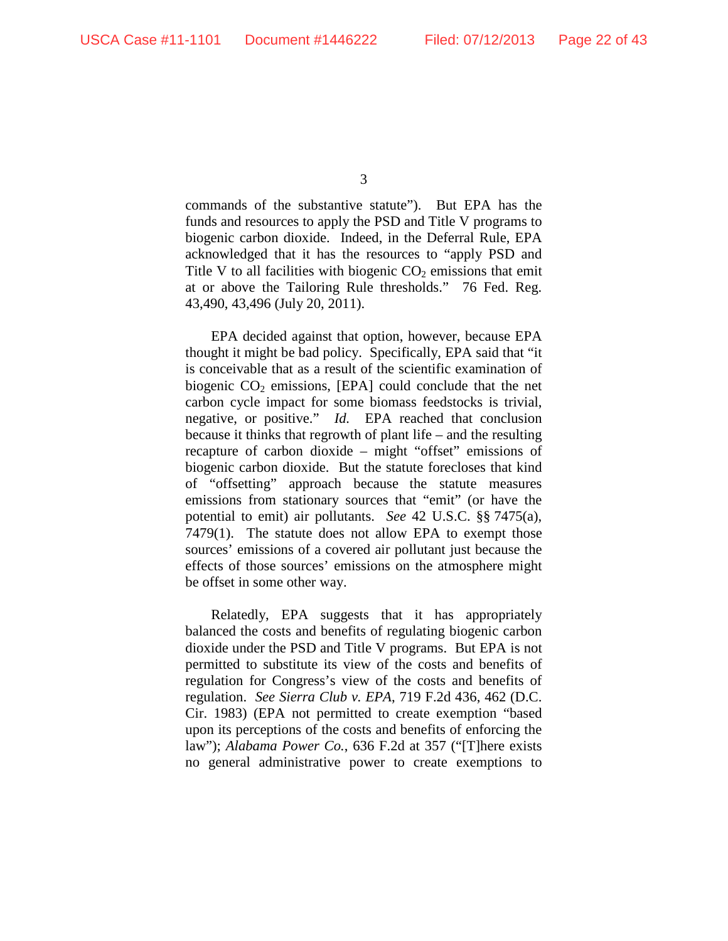commands of the substantive statute"). But EPA has the funds and resources to apply the PSD and Title V programs to biogenic carbon dioxide. Indeed, in the Deferral Rule, EPA acknowledged that it has the resources to "apply PSD and Title V to all facilities with biogenic  $CO<sub>2</sub>$  emissions that emit at or above the Tailoring Rule thresholds." 76 Fed. Reg. 43,490, 43,496 (July 20, 2011).

EPA decided against that option, however, because EPA thought it might be bad policy. Specifically, EPA said that "it is conceivable that as a result of the scientific examination of biogenic  $CO<sub>2</sub>$  emissions, [EPA] could conclude that the net carbon cycle impact for some biomass feedstocks is trivial, negative, or positive." *Id.* EPA reached that conclusion because it thinks that regrowth of plant life – and the resulting recapture of carbon dioxide – might "offset" emissions of biogenic carbon dioxide. But the statute forecloses that kind of "offsetting" approach because the statute measures emissions from stationary sources that "emit" (or have the potential to emit) air pollutants. *See* 42 U.S.C. §§ 7475(a), 7479(1). The statute does not allow EPA to exempt those sources' emissions of a covered air pollutant just because the effects of those sources' emissions on the atmosphere might be offset in some other way.

Relatedly, EPA suggests that it has appropriately balanced the costs and benefits of regulating biogenic carbon dioxide under the PSD and Title V programs. But EPA is not permitted to substitute its view of the costs and benefits of regulation for Congress's view of the costs and benefits of regulation. *See Sierra Club v. EPA*, 719 F.2d 436, 462 (D.C. Cir. 1983) (EPA not permitted to create exemption "based upon its perceptions of the costs and benefits of enforcing the law"); *Alabama Power Co.*, 636 F.2d at 357 ("[T]here exists no general administrative power to create exemptions to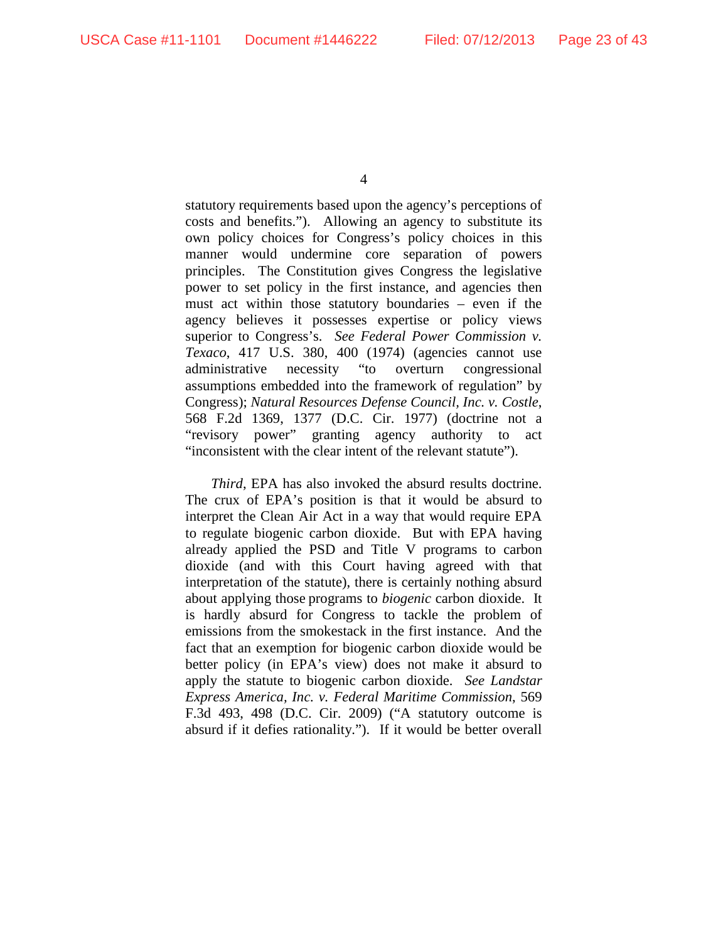statutory requirements based upon the agency's perceptions of costs and benefits."). Allowing an agency to substitute its own policy choices for Congress's policy choices in this manner would undermine core separation of powers principles. The Constitution gives Congress the legislative power to set policy in the first instance, and agencies then must act within those statutory boundaries – even if the agency believes it possesses expertise or policy views superior to Congress's. *See Federal Power Commission v. Texaco*, 417 U.S. 380, 400 (1974) (agencies cannot use administrative necessity "to overturn congressional assumptions embedded into the framework of regulation" by Congress); *Natural Resources Defense Council, Inc. v. Costle*, 568 F.2d 1369, 1377 (D.C. Cir. 1977) (doctrine not a "revisory power" granting agency authority to act "inconsistent with the clear intent of the relevant statute").

*Third*, EPA has also invoked the absurd results doctrine. The crux of EPA's position is that it would be absurd to interpret the Clean Air Act in a way that would require EPA to regulate biogenic carbon dioxide. But with EPA having already applied the PSD and Title V programs to carbon dioxide (and with this Court having agreed with that interpretation of the statute), there is certainly nothing absurd about applying those programs to *biogenic* carbon dioxide. It is hardly absurd for Congress to tackle the problem of emissions from the smokestack in the first instance. And the fact that an exemption for biogenic carbon dioxide would be better policy (in EPA's view) does not make it absurd to apply the statute to biogenic carbon dioxide. *See Landstar Express America, Inc. v. Federal Maritime Commission*, 569 F.3d 493, 498 (D.C. Cir. 2009) ("A statutory outcome is absurd if it defies rationality."). If it would be better overall

<sup>4</sup>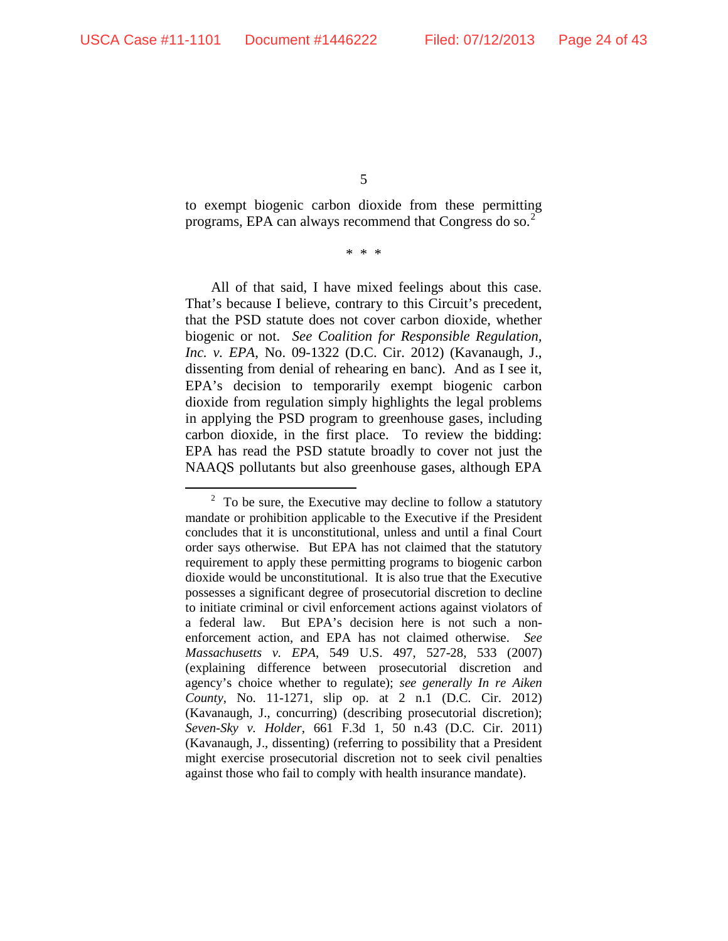to exempt biogenic carbon dioxide from these permitting programs, EPA can always recommend that Congress do so.<sup>[2](#page-23-0)</sup>

\* \* \*

All of that said, I have mixed feelings about this case. That's because I believe, contrary to this Circuit's precedent, that the PSD statute does not cover carbon dioxide, whether biogenic or not. *See Coalition for Responsible Regulation, Inc. v. EPA*, No. 09-1322 (D.C. Cir. 2012) (Kavanaugh, J., dissenting from denial of rehearing en banc). And as I see it, EPA's decision to temporarily exempt biogenic carbon dioxide from regulation simply highlights the legal problems in applying the PSD program to greenhouse gases, including carbon dioxide, in the first place. To review the bidding: EPA has read the PSD statute broadly to cover not just the NAAQS pollutants but also greenhouse gases, although EPA

<span id="page-23-0"></span><sup>&</sup>lt;sup>2</sup> To be sure, the Executive may decline to follow a statutory mandate or prohibition applicable to the Executive if the President concludes that it is unconstitutional, unless and until a final Court order says otherwise. But EPA has not claimed that the statutory requirement to apply these permitting programs to biogenic carbon dioxide would be unconstitutional. It is also true that the Executive possesses a significant degree of prosecutorial discretion to decline to initiate criminal or civil enforcement actions against violators of a federal law. But EPA's decision here is not such a nonenforcement action, and EPA has not claimed otherwise. *See Massachusetts v. EPA*, 549 U.S. 497, 527-28, 533 (2007) (explaining difference between prosecutorial discretion and agency's choice whether to regulate); *see generally In re Aiken County*, No. 11-1271, slip op. at 2 n.1 (D.C. Cir. 2012) (Kavanaugh, J., concurring) (describing prosecutorial discretion); *Seven-Sky v. Holder*, 661 F.3d 1, 50 n.43 (D.C. Cir. 2011) (Kavanaugh, J., dissenting) (referring to possibility that a President might exercise prosecutorial discretion not to seek civil penalties against those who fail to comply with health insurance mandate).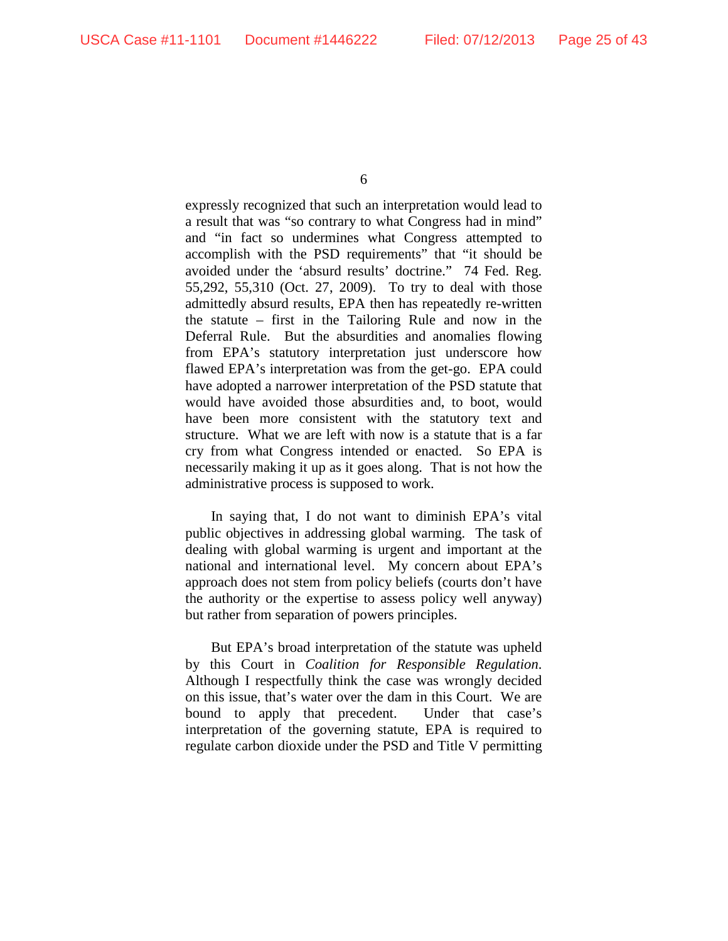expressly recognized that such an interpretation would lead to a result that was "so contrary to what Congress had in mind" and "in fact so undermines what Congress attempted to accomplish with the PSD requirements" that "it should be avoided under the 'absurd results' doctrine." 74 Fed. Reg. 55,292, 55,310 (Oct. 27, 2009). To try to deal with those admittedly absurd results, EPA then has repeatedly re-written the statute – first in the Tailoring Rule and now in the Deferral Rule. But the absurdities and anomalies flowing from EPA's statutory interpretation just underscore how flawed EPA's interpretation was from the get-go. EPA could have adopted a narrower interpretation of the PSD statute that would have avoided those absurdities and, to boot, would have been more consistent with the statutory text and structure. What we are left with now is a statute that is a far cry from what Congress intended or enacted. So EPA is necessarily making it up as it goes along. That is not how the administrative process is supposed to work.

In saying that, I do not want to diminish EPA's vital public objectives in addressing global warming. The task of dealing with global warming is urgent and important at the national and international level. My concern about EPA's approach does not stem from policy beliefs (courts don't have the authority or the expertise to assess policy well anyway) but rather from separation of powers principles.

But EPA's broad interpretation of the statute was upheld by this Court in *Coalition for Responsible Regulation*. Although I respectfully think the case was wrongly decided on this issue, that's water over the dam in this Court. We are bound to apply that precedent. Under that case's interpretation of the governing statute, EPA is required to regulate carbon dioxide under the PSD and Title V permitting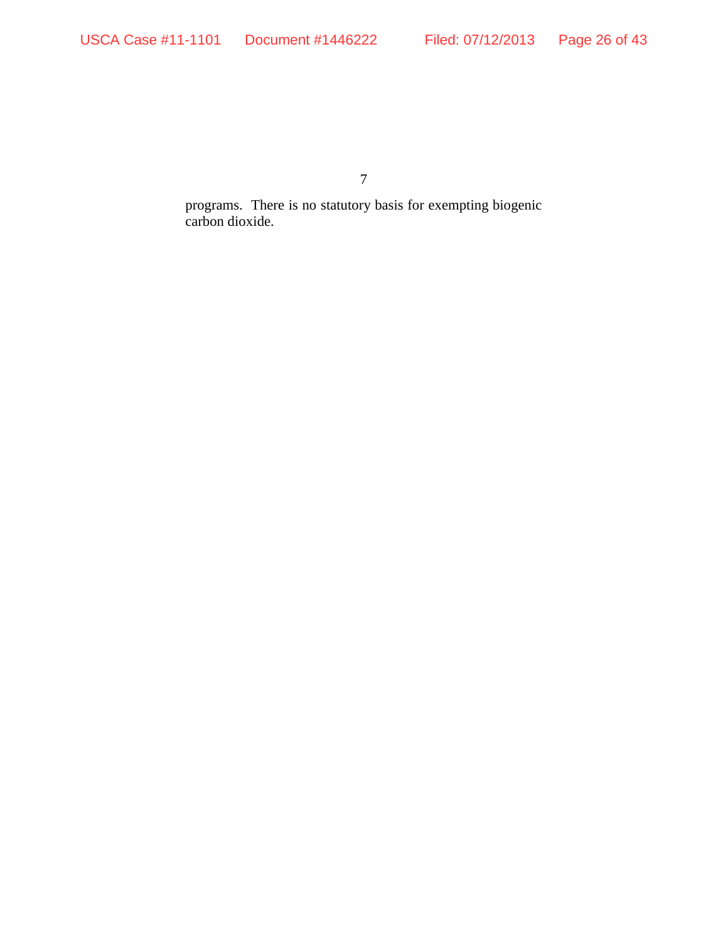programs. There is no statutory basis for exempting biogenic carbon dioxide.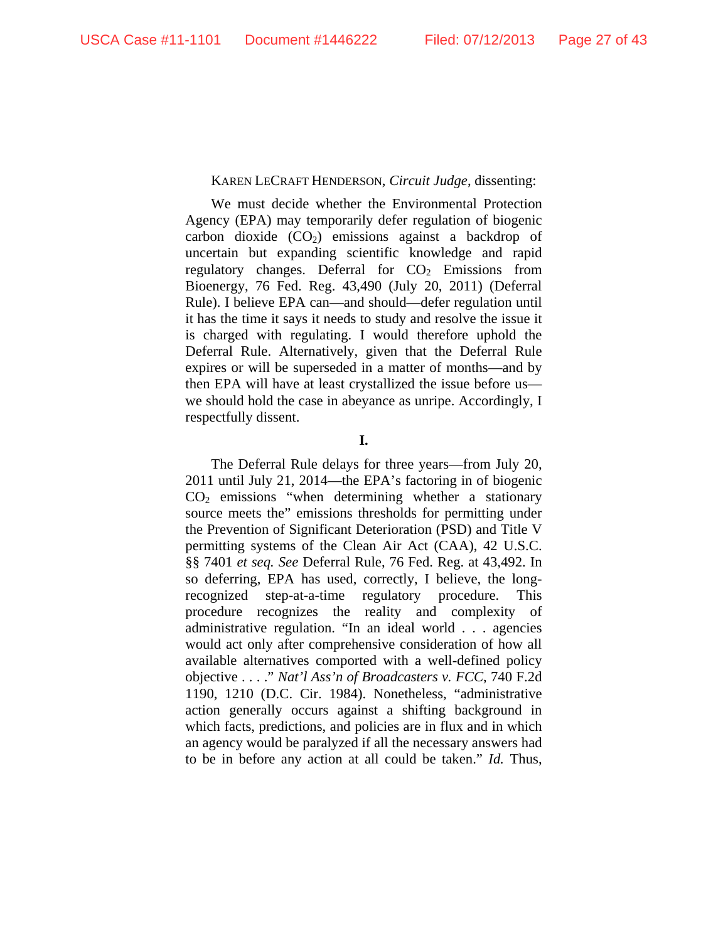# KAREN LECRAFT HENDERSON, *Circuit Judge*, dissenting:

 We must decide whether the Environmental Protection Agency (EPA) may temporarily defer regulation of biogenic carbon dioxide  $(CO<sub>2</sub>)$  emissions against a backdrop of uncertain but expanding scientific knowledge and rapid regulatory changes. Deferral for  $CO<sub>2</sub>$  Emissions from Bioenergy, 76 Fed. Reg. 43,490 (July 20, 2011) (Deferral Rule). I believe EPA can—and should—defer regulation until it has the time it says it needs to study and resolve the issue it is charged with regulating. I would therefore uphold the Deferral Rule. Alternatively, given that the Deferral Rule expires or will be superseded in a matter of months—and by then EPA will have at least crystallized the issue before us we should hold the case in abeyance as unripe. Accordingly, I respectfully dissent.

**I.** 

The Deferral Rule delays for three years—from July 20, 2011 until July 21, 2014—the EPA's factoring in of biogenic  $CO<sub>2</sub>$  emissions "when determining whether a stationary source meets the" emissions thresholds for permitting under the Prevention of Significant Deterioration (PSD) and Title V permitting systems of the Clean Air Act (CAA), 42 U.S.C. §§ 7401 *et seq. See* Deferral Rule, 76 Fed. Reg. at 43,492. In so deferring, EPA has used, correctly, I believe, the longrecognized step-at-a-time regulatory procedure. This procedure recognizes the reality and complexity of administrative regulation. "In an ideal world . . . agencies would act only after comprehensive consideration of how all available alternatives comported with a well-defined policy objective . . . ." *Nat'l Ass'n of Broadcasters v. FCC*, 740 F.2d 1190, 1210 (D.C. Cir. 1984). Nonetheless, "administrative action generally occurs against a shifting background in which facts, predictions, and policies are in flux and in which an agency would be paralyzed if all the necessary answers had to be in before any action at all could be taken." *Id.* Thus,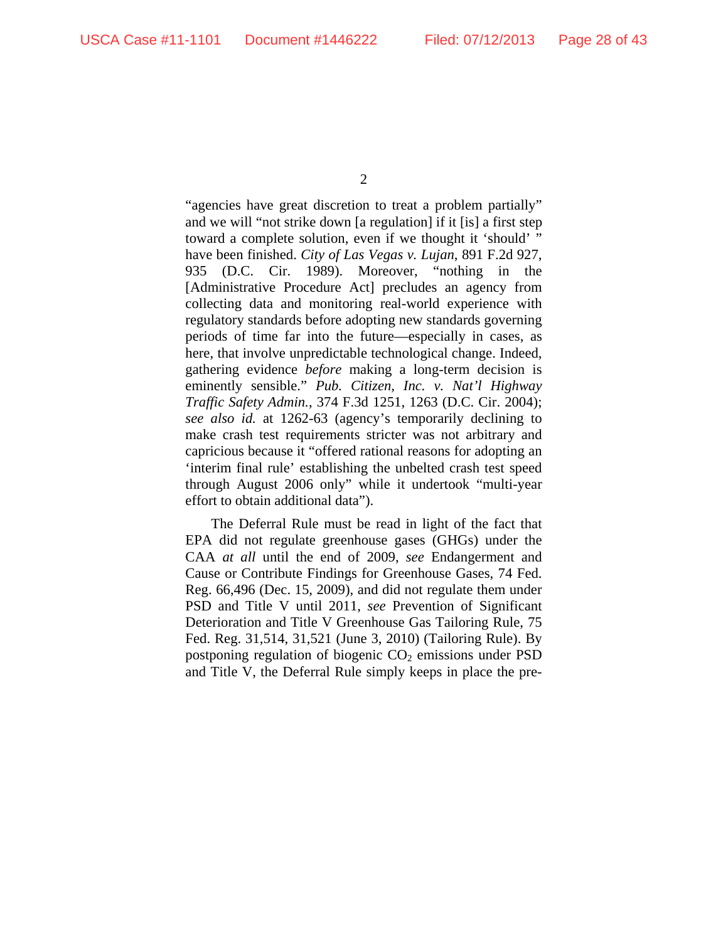"agencies have great discretion to treat a problem partially" and we will "not strike down [a regulation] if it [is] a first step toward a complete solution, even if we thought it 'should' " have been finished. *City of Las Vegas v. Lujan*, 891 F.2d 927, 935 (D.C. Cir. 1989). Moreover, "nothing in the [Administrative Procedure Act] precludes an agency from collecting data and monitoring real-world experience with regulatory standards before adopting new standards governing periods of time far into the future—especially in cases, as here, that involve unpredictable technological change. Indeed, gathering evidence *before* making a long-term decision is eminently sensible." *Pub. Citizen, Inc. v. Nat'l Highway Traffic Safety Admin.*, 374 F.3d 1251, 1263 (D.C. Cir. 2004); *see also id.* at 1262-63 (agency's temporarily declining to make crash test requirements stricter was not arbitrary and capricious because it "offered rational reasons for adopting an 'interim final rule' establishing the unbelted crash test speed through August 2006 only" while it undertook "multi-year effort to obtain additional data").

The Deferral Rule must be read in light of the fact that EPA did not regulate greenhouse gases (GHGs) under the CAA *at all* until the end of 2009, *see* Endangerment and Cause or Contribute Findings for Greenhouse Gases, 74 Fed. Reg. 66,496 (Dec. 15, 2009), and did not regulate them under PSD and Title V until 2011, *see* Prevention of Significant Deterioration and Title V Greenhouse Gas Tailoring Rule, 75 Fed. Reg. 31,514, 31,521 (June 3, 2010) (Tailoring Rule). By postponing regulation of biogenic  $CO<sub>2</sub>$  emissions under PSD and Title V, the Deferral Rule simply keeps in place the pre-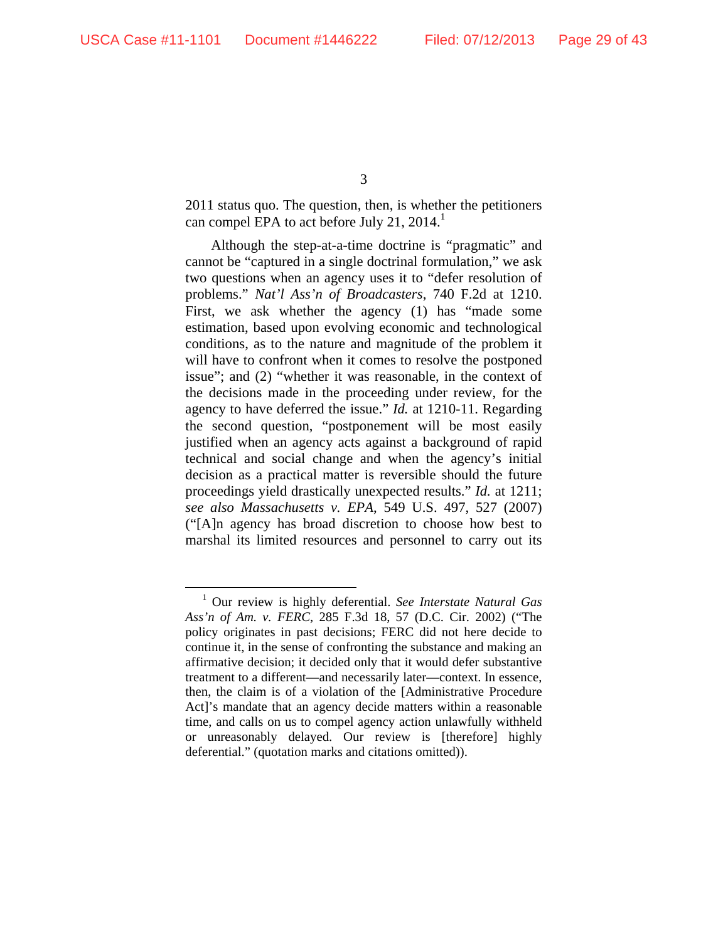2011 status quo. The question, then, is whether the petitioners can compel EPA to act before July 21, 2014.<sup>1</sup>

Although the step-at-a-time doctrine is "pragmatic" and cannot be "captured in a single doctrinal formulation," we ask two questions when an agency uses it to "defer resolution of problems." *Nat'l Ass'n of Broadcasters*, 740 F.2d at 1210. First, we ask whether the agency (1) has "made some estimation, based upon evolving economic and technological conditions, as to the nature and magnitude of the problem it will have to confront when it comes to resolve the postponed issue"; and (2) "whether it was reasonable, in the context of the decisions made in the proceeding under review, for the agency to have deferred the issue." *Id.* at 1210-11. Regarding the second question, "postponement will be most easily justified when an agency acts against a background of rapid technical and social change and when the agency's initial decision as a practical matter is reversible should the future proceedings yield drastically unexpected results." *Id.* at 1211; *see also Massachusetts v. EPA*, 549 U.S. 497, 527 (2007) ("[A]n agency has broad discretion to choose how best to marshal its limited resources and personnel to carry out its

 <sup>1</sup> Our review is highly deferential. *See Interstate Natural Gas Ass'n of Am. v. FERC*, 285 F.3d 18, 57 (D.C. Cir. 2002) ("The policy originates in past decisions; FERC did not here decide to continue it, in the sense of confronting the substance and making an affirmative decision; it decided only that it would defer substantive treatment to a different—and necessarily later—context. In essence, then, the claim is of a violation of the [Administrative Procedure Act]'s mandate that an agency decide matters within a reasonable time, and calls on us to compel agency action unlawfully withheld or unreasonably delayed. Our review is [therefore] highly deferential." (quotation marks and citations omitted)).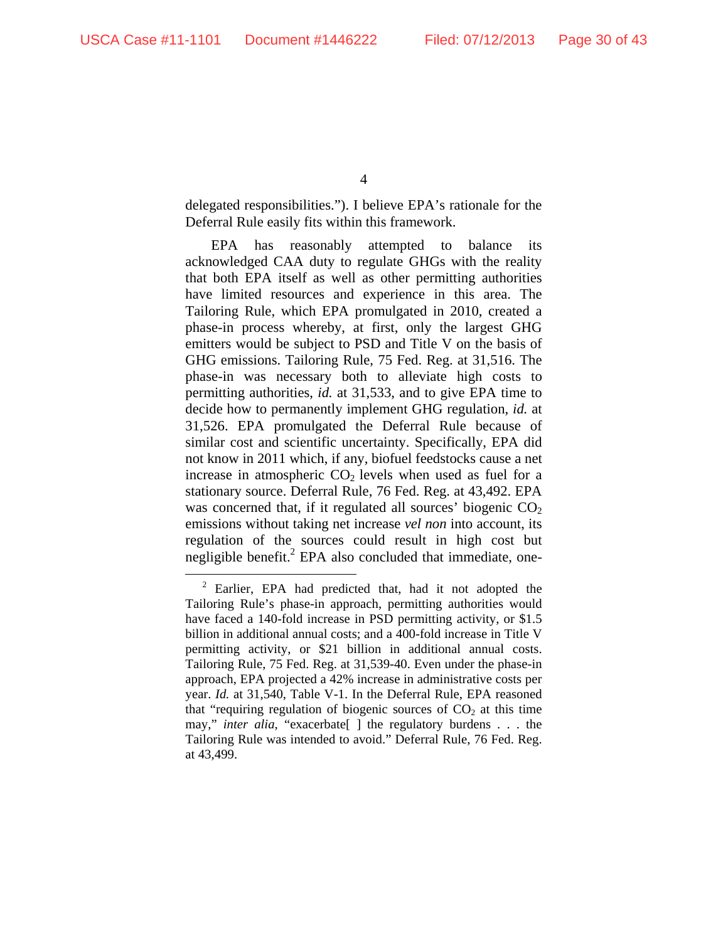delegated responsibilities."). I believe EPA's rationale for the Deferral Rule easily fits within this framework.

EPA has reasonably attempted to balance its acknowledged CAA duty to regulate GHGs with the reality that both EPA itself as well as other permitting authorities have limited resources and experience in this area. The Tailoring Rule, which EPA promulgated in 2010, created a phase-in process whereby, at first, only the largest GHG emitters would be subject to PSD and Title V on the basis of GHG emissions. Tailoring Rule, 75 Fed. Reg. at 31,516. The phase-in was necessary both to alleviate high costs to permitting authorities, *id.* at 31,533, and to give EPA time to decide how to permanently implement GHG regulation, *id.* at 31,526. EPA promulgated the Deferral Rule because of similar cost and scientific uncertainty. Specifically, EPA did not know in 2011 which, if any, biofuel feedstocks cause a net increase in atmospheric  $CO<sub>2</sub>$  levels when used as fuel for a stationary source. Deferral Rule, 76 Fed. Reg. at 43,492. EPA was concerned that, if it regulated all sources' biogenic  $CO<sub>2</sub>$ emissions without taking net increase *vel non* into account, its regulation of the sources could result in high cost but negligible benefit.<sup>2</sup> EPA also concluded that immediate, one-

 <sup>2</sup> Earlier, EPA had predicted that, had it not adopted the Tailoring Rule's phase-in approach, permitting authorities would have faced a 140-fold increase in PSD permitting activity, or \$1.5 billion in additional annual costs; and a 400-fold increase in Title V permitting activity, or \$21 billion in additional annual costs. Tailoring Rule, 75 Fed. Reg. at 31,539-40. Even under the phase-in approach, EPA projected a 42% increase in administrative costs per year. *Id.* at 31,540, Table V-1. In the Deferral Rule, EPA reasoned that "requiring regulation of biogenic sources of  $CO<sub>2</sub>$  at this time may," *inter alia*, "exacerbate[ ] the regulatory burdens . . . the Tailoring Rule was intended to avoid." Deferral Rule, 76 Fed. Reg. at 43,499.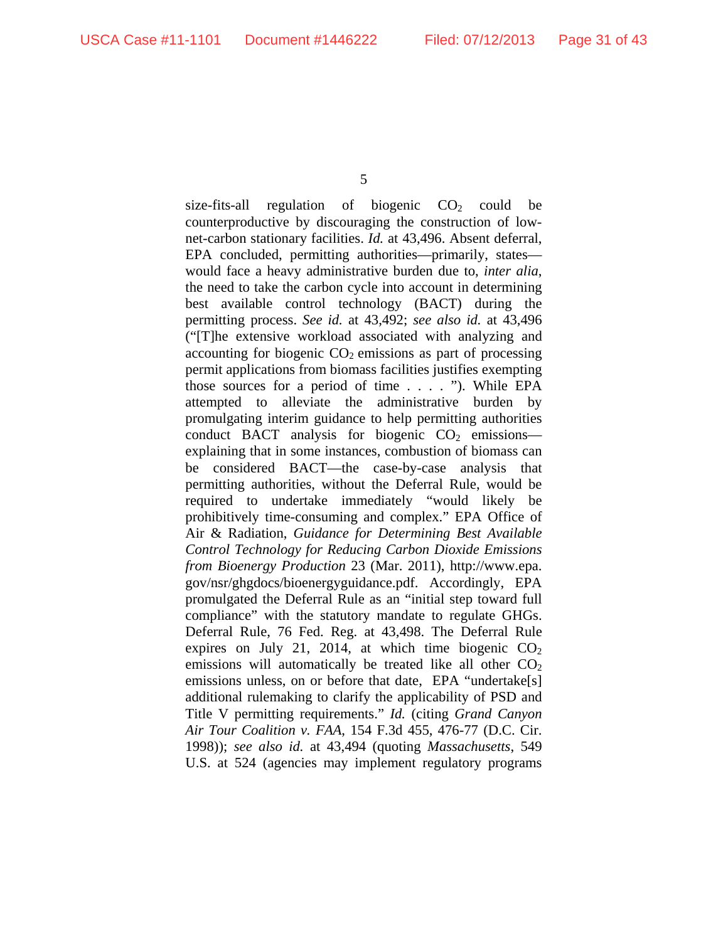size-fits-all regulation of biogenic  $CO<sub>2</sub>$  could be counterproductive by discouraging the construction of lownet-carbon stationary facilities. *Id.* at 43,496. Absent deferral, EPA concluded, permitting authorities—primarily, states would face a heavy administrative burden due to, *inter alia*, the need to take the carbon cycle into account in determining best available control technology (BACT) during the permitting process. *See id.* at 43,492; *see also id.* at 43,496 ("[T]he extensive workload associated with analyzing and accounting for biogenic  $CO<sub>2</sub>$  emissions as part of processing permit applications from biomass facilities justifies exempting those sources for a period of time . . . . "). While EPA attempted to alleviate the administrative burden by promulgating interim guidance to help permitting authorities conduct BACT analysis for biogenic  $CO<sub>2</sub>$  emissions explaining that in some instances, combustion of biomass can be considered BACT—the case-by-case analysis that permitting authorities, without the Deferral Rule, would be required to undertake immediately "would likely be prohibitively time-consuming and complex." EPA Office of Air & Radiation, *Guidance for Determining Best Available Control Technology for Reducing Carbon Dioxide Emissions from Bioenergy Production* 23 (Mar. 2011), http://www.epa. gov/nsr/ghgdocs/bioenergyguidance.pdf. Accordingly, EPA promulgated the Deferral Rule as an "initial step toward full compliance" with the statutory mandate to regulate GHGs. Deferral Rule, 76 Fed. Reg. at 43,498. The Deferral Rule expires on July 21, 2014, at which time biogenic  $CO<sub>2</sub>$ emissions will automatically be treated like all other  $CO<sub>2</sub>$ emissions unless, on or before that date, EPA "undertake[s] additional rulemaking to clarify the applicability of PSD and Title V permitting requirements." *Id.* (citing *Grand Canyon Air Tour Coalition v. FAA*, 154 F.3d 455, 476-77 (D.C. Cir. 1998)); *see also id.* at 43,494 (quoting *Massachusetts*, 549 U.S. at 524 (agencies may implement regulatory programs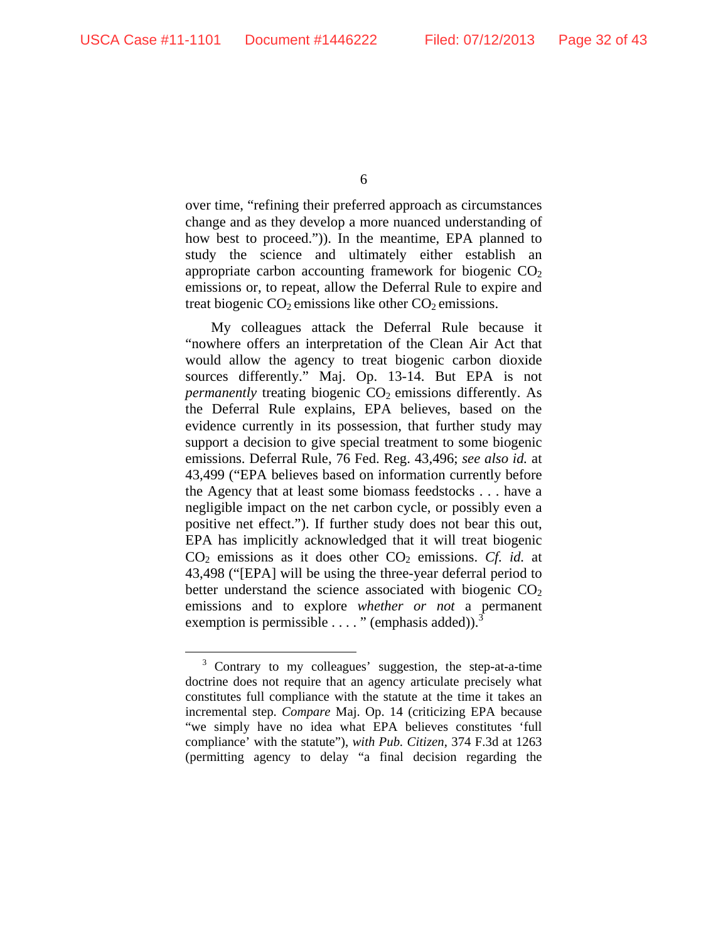over time, "refining their preferred approach as circumstances change and as they develop a more nuanced understanding of how best to proceed.")). In the meantime, EPA planned to study the science and ultimately either establish an appropriate carbon accounting framework for biogenic  $CO<sub>2</sub>$ emissions or, to repeat, allow the Deferral Rule to expire and treat biogenic  $CO<sub>2</sub>$  emissions like other  $CO<sub>2</sub>$  emissions.

My colleagues attack the Deferral Rule because it "nowhere offers an interpretation of the Clean Air Act that would allow the agency to treat biogenic carbon dioxide sources differently." Maj. Op. 13-14. But EPA is not *permanently* treating biogenic CO<sub>2</sub> emissions differently. As the Deferral Rule explains, EPA believes, based on the evidence currently in its possession, that further study may support a decision to give special treatment to some biogenic emissions. Deferral Rule, 76 Fed. Reg. 43,496; *see also id.* at 43,499 ("EPA believes based on information currently before the Agency that at least some biomass feedstocks . . . have a negligible impact on the net carbon cycle, or possibly even a positive net effect."). If further study does not bear this out, EPA has implicitly acknowledged that it will treat biogenic CO2 emissions as it does other CO2 emissions. *Cf. id.* at 43,498 ("[EPA] will be using the three-year deferral period to better understand the science associated with biogenic  $CO<sub>2</sub>$ emissions and to explore *whether or not* a permanent exemption is permissible  $\dots$ . " (emphasis added)).<sup>3</sup>

<sup>&</sup>lt;sup>3</sup> Contrary to my colleagues' suggestion, the step-at-a-time doctrine does not require that an agency articulate precisely what constitutes full compliance with the statute at the time it takes an incremental step. *Compare* Maj. Op. 14 (criticizing EPA because "we simply have no idea what EPA believes constitutes 'full compliance' with the statute"), *with Pub. Citizen*, 374 F.3d at 1263 (permitting agency to delay "a final decision regarding the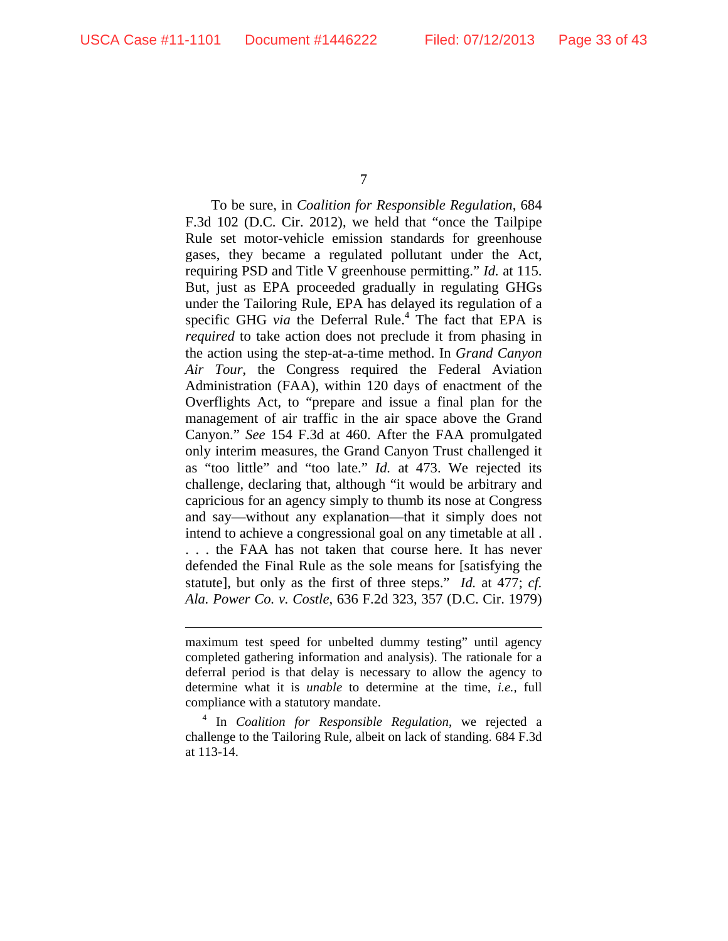$\overline{a}$ 

7

To be sure, in *Coalition for Responsible Regulation*, 684 F.3d 102 (D.C. Cir. 2012), we held that "once the Tailpipe Rule set motor-vehicle emission standards for greenhouse gases, they became a regulated pollutant under the Act, requiring PSD and Title V greenhouse permitting." *Id.* at 115. But, just as EPA proceeded gradually in regulating GHGs under the Tailoring Rule, EPA has delayed its regulation of a specific GHG *via* the Deferral Rule.<sup>4</sup> The fact that EPA is *required* to take action does not preclude it from phasing in the action using the step-at-a-time method. In *Grand Canyon Air Tour*, the Congress required the Federal Aviation Administration (FAA), within 120 days of enactment of the Overflights Act, to "prepare and issue a final plan for the management of air traffic in the air space above the Grand Canyon." *See* 154 F.3d at 460. After the FAA promulgated only interim measures, the Grand Canyon Trust challenged it as "too little" and "too late." *Id.* at 473. We rejected its challenge, declaring that, although "it would be arbitrary and capricious for an agency simply to thumb its nose at Congress and say—without any explanation—that it simply does not intend to achieve a congressional goal on any timetable at all . . . . the FAA has not taken that course here. It has never defended the Final Rule as the sole means for [satisfying the statute], but only as the first of three steps." *Id.* at 477; *cf. Ala. Power Co. v. Costle*, 636 F.2d 323, 357 (D.C. Cir. 1979)

maximum test speed for unbelted dummy testing" until agency completed gathering information and analysis). The rationale for a deferral period is that delay is necessary to allow the agency to determine what it is *unable* to determine at the time, *i.e.*, full compliance with a statutory mandate.

<sup>4</sup> In *Coalition for Responsible Regulation*, we rejected a challenge to the Tailoring Rule, albeit on lack of standing. 684 F.3d at 113-14.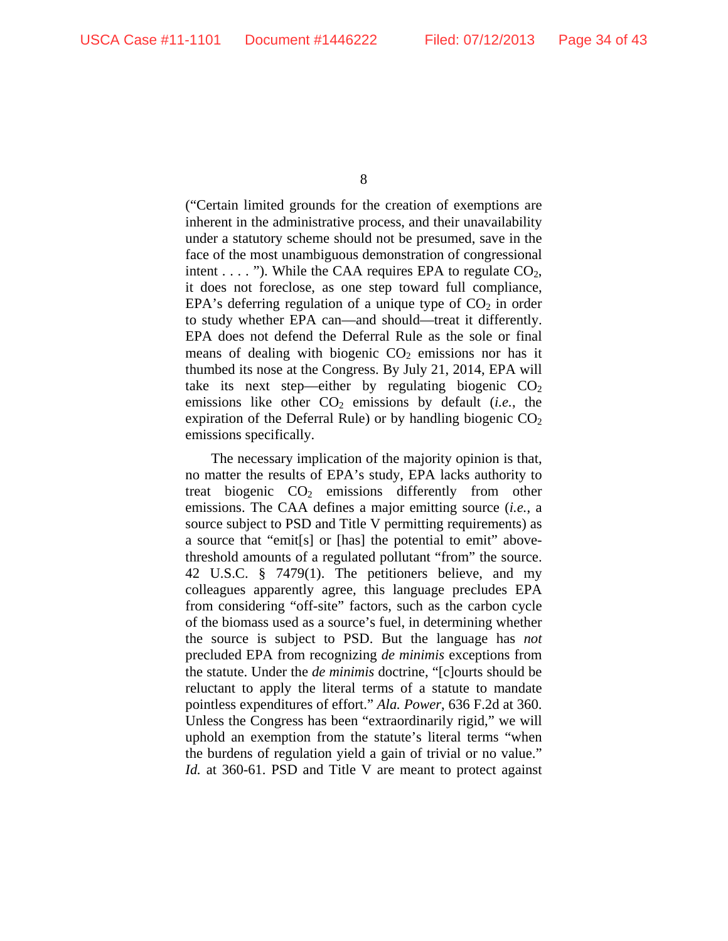("Certain limited grounds for the creation of exemptions are inherent in the administrative process, and their unavailability under a statutory scheme should not be presumed, save in the face of the most unambiguous demonstration of congressional intent  $\dots$  "). While the CAA requires EPA to regulate  $CO<sub>2</sub>$ , it does not foreclose, as one step toward full compliance, EPA's deferring regulation of a unique type of  $CO<sub>2</sub>$  in order to study whether EPA can—and should—treat it differently. EPA does not defend the Deferral Rule as the sole or final means of dealing with biogenic  $CO<sub>2</sub>$  emissions nor has it thumbed its nose at the Congress. By July 21, 2014, EPA will take its next step—either by regulating biogenic  $CO<sub>2</sub>$ emissions like other  $CO<sub>2</sub>$  emissions by default (*i.e.*, the expiration of the Deferral Rule) or by handling biogenic  $CO<sub>2</sub>$ emissions specifically.

The necessary implication of the majority opinion is that, no matter the results of EPA's study, EPA lacks authority to treat biogenic  $CO<sub>2</sub>$  emissions differently from other emissions. The CAA defines a major emitting source (*i.e.*, a source subject to PSD and Title V permitting requirements) as a source that "emit[s] or [has] the potential to emit" abovethreshold amounts of a regulated pollutant "from" the source. 42 U.S.C. § 7479(1). The petitioners believe, and my colleagues apparently agree, this language precludes EPA from considering "off-site" factors, such as the carbon cycle of the biomass used as a source's fuel, in determining whether the source is subject to PSD. But the language has *not* precluded EPA from recognizing *de minimis* exceptions from the statute. Under the *de minimis* doctrine, "[c]ourts should be reluctant to apply the literal terms of a statute to mandate pointless expenditures of effort." *Ala. Power*, 636 F.2d at 360. Unless the Congress has been "extraordinarily rigid," we will uphold an exemption from the statute's literal terms "when the burdens of regulation yield a gain of trivial or no value." *Id.* at 360-61. PSD and Title V are meant to protect against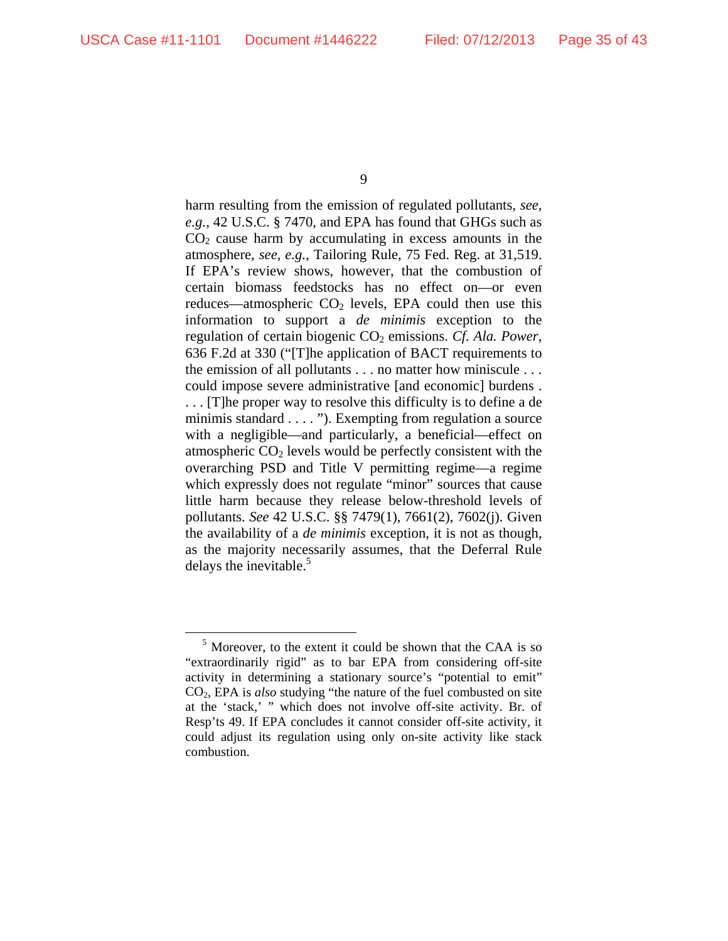harm resulting from the emission of regulated pollutants, *see, e.g.*, 42 U.S.C. § 7470, and EPA has found that GHGs such as  $CO<sub>2</sub>$  cause harm by accumulating in excess amounts in the atmosphere, *see, e.g.*, Tailoring Rule, 75 Fed. Reg. at 31,519. If EPA's review shows, however, that the combustion of certain biomass feedstocks has no effect on—or even reduces—atmospheric  $CO<sub>2</sub>$  levels, EPA could then use this information to support a *de minimis* exception to the regulation of certain biogenic CO<sub>2</sub> emissions. *Cf. Ala. Power*, 636 F.2d at 330 ("[T]he application of BACT requirements to the emission of all pollutants . . . no matter how miniscule . . . could impose severe administrative [and economic] burdens . . . . [T]he proper way to resolve this difficulty is to define a de minimis standard . . . . "). Exempting from regulation a source with a negligible—and particularly, a beneficial—effect on atmospheric  $CO<sub>2</sub>$  levels would be perfectly consistent with the overarching PSD and Title V permitting regime—a regime which expressly does not regulate "minor" sources that cause little harm because they release below-threshold levels of pollutants. *See* 42 U.S.C. §§ 7479(1), 7661(2), 7602(j). Given the availability of a *de minimis* exception, it is not as though, as the majority necessarily assumes, that the Deferral Rule delays the inevitable.<sup>5</sup>

<sup>&</sup>lt;sup>5</sup> Moreover, to the extent it could be shown that the CAA is so "extraordinarily rigid" as to bar EPA from considering off-site activity in determining a stationary source's "potential to emit" CO2, EPA is *also* studying "the nature of the fuel combusted on site at the 'stack,' " which does not involve off-site activity. Br. of Resp'ts 49. If EPA concludes it cannot consider off-site activity, it could adjust its regulation using only on-site activity like stack combustion.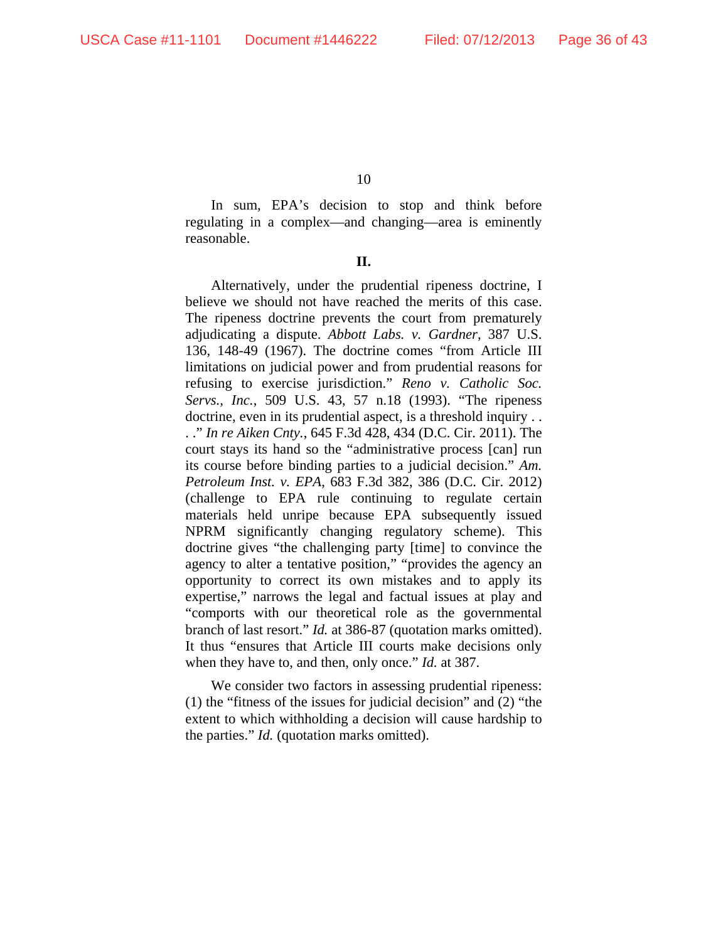In sum, EPA's decision to stop and think before regulating in a complex—and changing—area is eminently reasonable.

**II.** 

 Alternatively, under the prudential ripeness doctrine, I believe we should not have reached the merits of this case. The ripeness doctrine prevents the court from prematurely adjudicating a dispute. *Abbott Labs. v. Gardner*, 387 U.S. 136, 148-49 (1967). The doctrine comes "from Article III limitations on judicial power and from prudential reasons for refusing to exercise jurisdiction." *Reno v. Catholic Soc. Servs., Inc.*, 509 U.S. 43, 57 n.18 (1993). "The ripeness doctrine, even in its prudential aspect, is a threshold inquiry . . . ." *In re Aiken Cnty.*, 645 F.3d 428, 434 (D.C. Cir. 2011). The court stays its hand so the "administrative process [can] run its course before binding parties to a judicial decision." *Am. Petroleum Inst. v. EPA*, 683 F.3d 382, 386 (D.C. Cir. 2012) (challenge to EPA rule continuing to regulate certain materials held unripe because EPA subsequently issued NPRM significantly changing regulatory scheme). This doctrine gives "the challenging party [time] to convince the agency to alter a tentative position," "provides the agency an opportunity to correct its own mistakes and to apply its expertise," narrows the legal and factual issues at play and "comports with our theoretical role as the governmental branch of last resort." *Id.* at 386-87 (quotation marks omitted). It thus "ensures that Article III courts make decisions only when they have to, and then, only once." *Id.* at 387.

We consider two factors in assessing prudential ripeness: (1) the "fitness of the issues for judicial decision" and (2) "the extent to which withholding a decision will cause hardship to the parties." *Id.* (quotation marks omitted).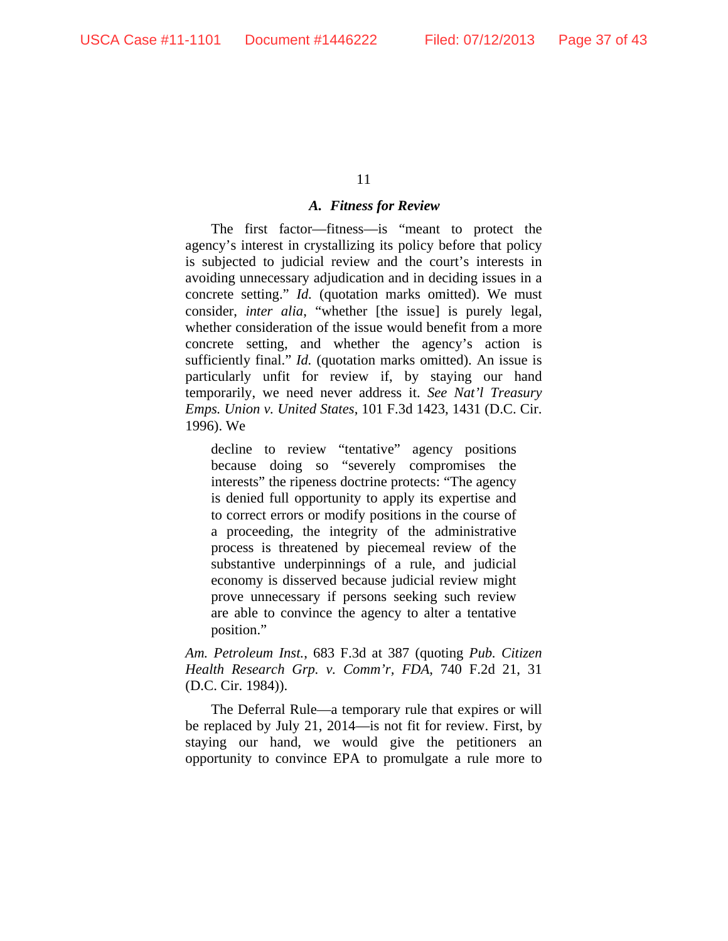#### *A. Fitness for Review*

The first factor—fitness—is "meant to protect the agency's interest in crystallizing its policy before that policy is subjected to judicial review and the court's interests in avoiding unnecessary adjudication and in deciding issues in a concrete setting." *Id.* (quotation marks omitted). We must consider, *inter alia*, "whether [the issue] is purely legal, whether consideration of the issue would benefit from a more concrete setting, and whether the agency's action is sufficiently final." *Id.* (quotation marks omitted). An issue is particularly unfit for review if, by staying our hand temporarily, we need never address it. *See Nat'l Treasury Emps. Union v. United States*, 101 F.3d 1423, 1431 (D.C. Cir. 1996). We

decline to review "tentative" agency positions because doing so "severely compromises the interests" the ripeness doctrine protects: "The agency is denied full opportunity to apply its expertise and to correct errors or modify positions in the course of a proceeding, the integrity of the administrative process is threatened by piecemeal review of the substantive underpinnings of a rule, and judicial economy is disserved because judicial review might prove unnecessary if persons seeking such review are able to convince the agency to alter a tentative position."

*Am. Petroleum Inst.*, 683 F.3d at 387 (quoting *Pub. Citizen Health Research Grp. v. Comm'r, FDA*, 740 F.2d 21, 31 (D.C. Cir. 1984)).

The Deferral Rule—a temporary rule that expires or will be replaced by July 21, 2014—is not fit for review. First, by staying our hand, we would give the petitioners an opportunity to convince EPA to promulgate a rule more to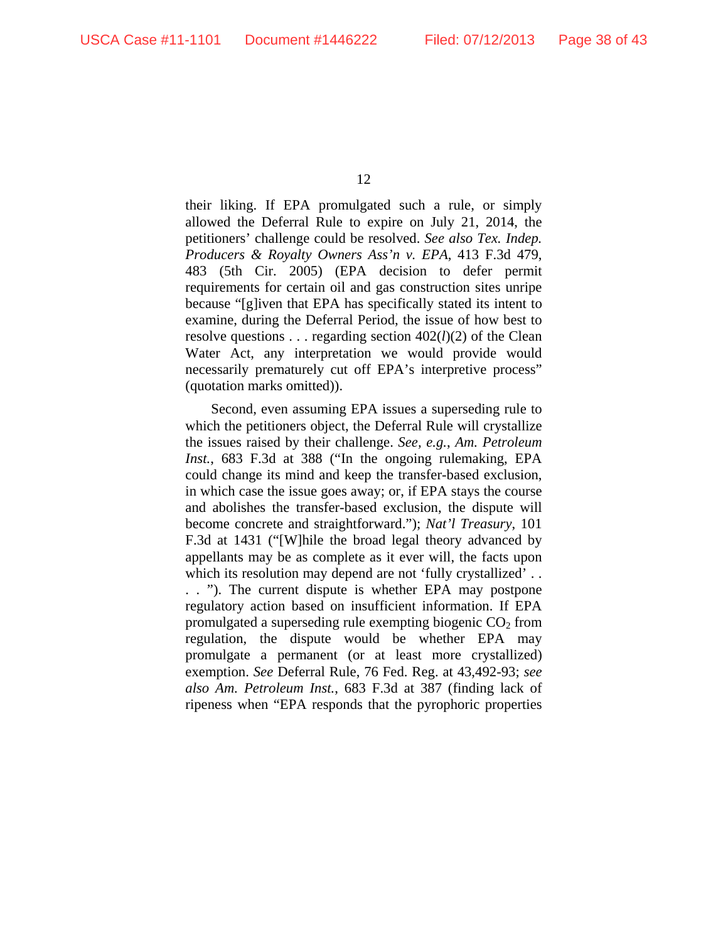their liking. If EPA promulgated such a rule, or simply allowed the Deferral Rule to expire on July 21, 2014, the petitioners' challenge could be resolved. *See also Tex. Indep. Producers & Royalty Owners Ass'n v. EPA*, 413 F.3d 479, 483 (5th Cir. 2005) (EPA decision to defer permit requirements for certain oil and gas construction sites unripe because "[g]iven that EPA has specifically stated its intent to examine, during the Deferral Period, the issue of how best to resolve questions . . . regarding section  $402(l)(2)$  of the Clean Water Act, any interpretation we would provide would necessarily prematurely cut off EPA's interpretive process" (quotation marks omitted)).

Second, even assuming EPA issues a superseding rule to which the petitioners object, the Deferral Rule will crystallize the issues raised by their challenge. *See, e.g.*, *Am. Petroleum Inst.*, 683 F.3d at 388 ("In the ongoing rulemaking, EPA could change its mind and keep the transfer-based exclusion, in which case the issue goes away; or, if EPA stays the course and abolishes the transfer-based exclusion, the dispute will become concrete and straightforward."); *Nat'l Treasury*, 101 F.3d at 1431 ("[W]hile the broad legal theory advanced by appellants may be as complete as it ever will, the facts upon which its resolution may depend are not 'fully crystallized'... . . "). The current dispute is whether EPA may postpone regulatory action based on insufficient information. If EPA promulgated a superseding rule exempting biogenic  $CO<sub>2</sub>$  from regulation, the dispute would be whether EPA may promulgate a permanent (or at least more crystallized) exemption. *See* Deferral Rule, 76 Fed. Reg. at 43,492-93; *see also Am. Petroleum Inst.*, 683 F.3d at 387 (finding lack of ripeness when "EPA responds that the pyrophoric properties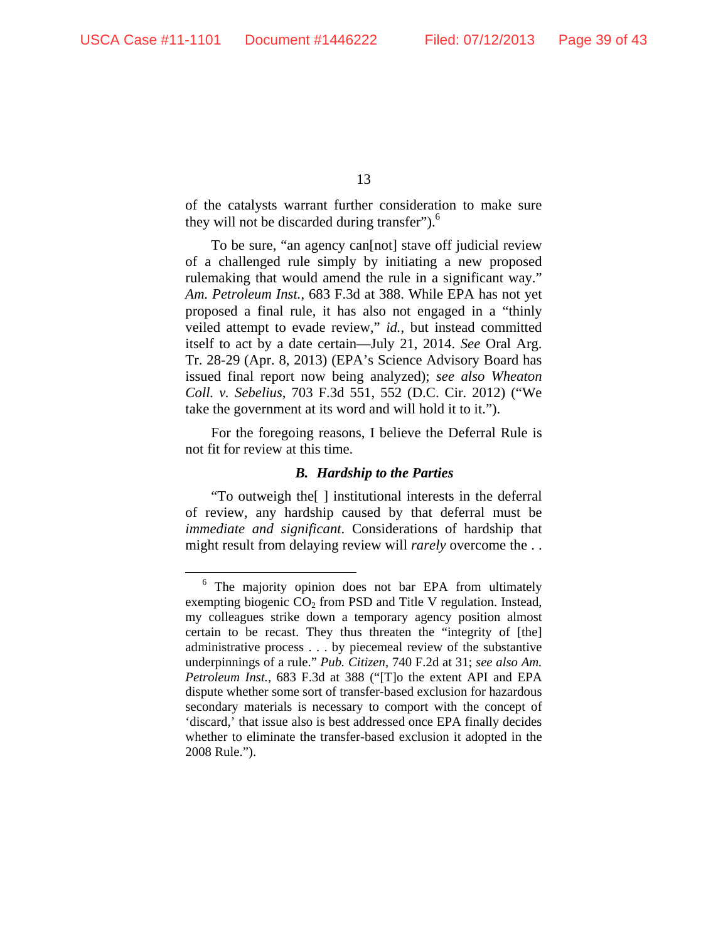of the catalysts warrant further consideration to make sure they will not be discarded during transfer").<sup>6</sup>

To be sure, "an agency can[not] stave off judicial review of a challenged rule simply by initiating a new proposed rulemaking that would amend the rule in a significant way." *Am. Petroleum Inst.*, 683 F.3d at 388. While EPA has not yet proposed a final rule, it has also not engaged in a "thinly veiled attempt to evade review," *id.*, but instead committed itself to act by a date certain—July 21, 2014. *See* Oral Arg. Tr. 28-29 (Apr. 8, 2013) (EPA's Science Advisory Board has issued final report now being analyzed); *see also Wheaton Coll. v. Sebelius*, 703 F.3d 551, 552 (D.C. Cir. 2012) ("We take the government at its word and will hold it to it.").

For the foregoing reasons, I believe the Deferral Rule is not fit for review at this time.

# *B. Hardship to the Parties*

"To outweigh the[ ] institutional interests in the deferral of review, any hardship caused by that deferral must be *immediate and significant*. Considerations of hardship that might result from delaying review will *rarely* overcome the . .

 <sup>6</sup> The majority opinion does not bar EPA from ultimately exempting biogenic  $CO<sub>2</sub>$  from PSD and Title V regulation. Instead, my colleagues strike down a temporary agency position almost certain to be recast. They thus threaten the "integrity of [the] administrative process . . . by piecemeal review of the substantive underpinnings of a rule." *Pub. Citizen*, 740 F.2d at 31; *see also Am. Petroleum Inst.*, 683 F.3d at 388 ("[T]o the extent API and EPA dispute whether some sort of transfer-based exclusion for hazardous secondary materials is necessary to comport with the concept of 'discard,' that issue also is best addressed once EPA finally decides whether to eliminate the transfer-based exclusion it adopted in the 2008 Rule.").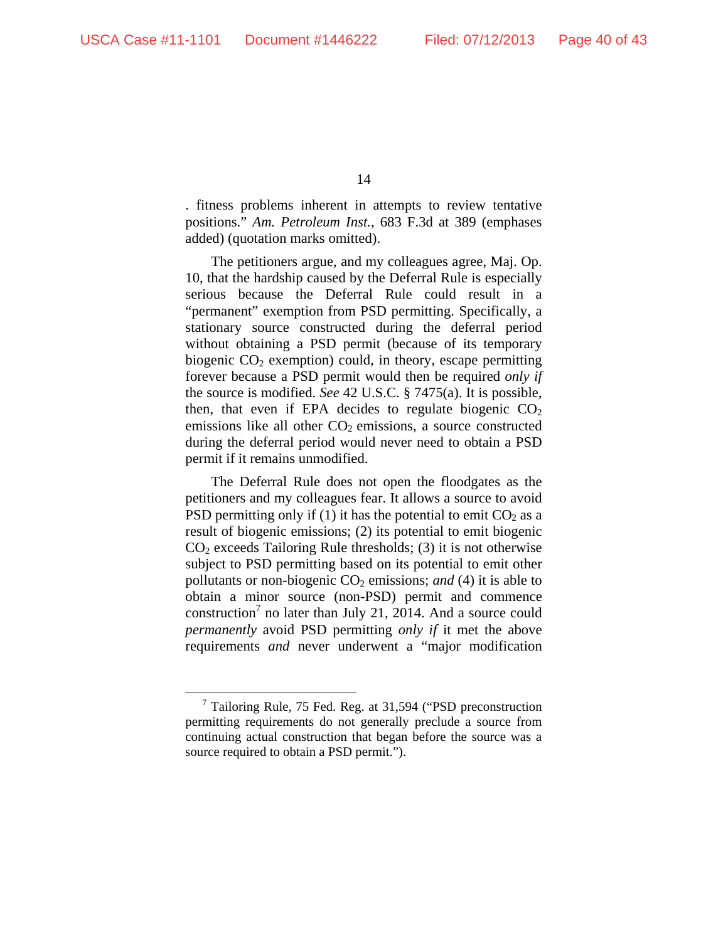. fitness problems inherent in attempts to review tentative positions." *Am. Petroleum Inst.*, 683 F.3d at 389 (emphases added) (quotation marks omitted).

The petitioners argue, and my colleagues agree, Maj. Op. 10, that the hardship caused by the Deferral Rule is especially serious because the Deferral Rule could result in a "permanent" exemption from PSD permitting. Specifically, a stationary source constructed during the deferral period without obtaining a PSD permit (because of its temporary biogenic  $CO<sub>2</sub>$  exemption) could, in theory, escape permitting forever because a PSD permit would then be required *only if* the source is modified. *See* 42 U.S.C. § 7475(a). It is possible, then, that even if EPA decides to regulate biogenic  $CO<sub>2</sub>$ emissions like all other  $CO<sub>2</sub>$  emissions, a source constructed during the deferral period would never need to obtain a PSD permit if it remains unmodified.

The Deferral Rule does not open the floodgates as the petitioners and my colleagues fear. It allows a source to avoid PSD permitting only if (1) it has the potential to emit  $CO<sub>2</sub>$  as a result of biogenic emissions; (2) its potential to emit biogenic  $CO<sub>2</sub>$  exceeds Tailoring Rule thresholds; (3) it is not otherwise subject to PSD permitting based on its potential to emit other pollutants or non-biogenic CO<sub>2</sub> emissions; *and* (4) it is able to obtain a minor source (non-PSD) permit and commence construction<sup>7</sup> no later than July 21, 2014. And a source could *permanently* avoid PSD permitting *only if* it met the above requirements *and* never underwent a "major modification

 <sup>7</sup> Tailoring Rule, 75 Fed. Reg. at 31,594 ("PSD preconstruction permitting requirements do not generally preclude a source from continuing actual construction that began before the source was a source required to obtain a PSD permit.").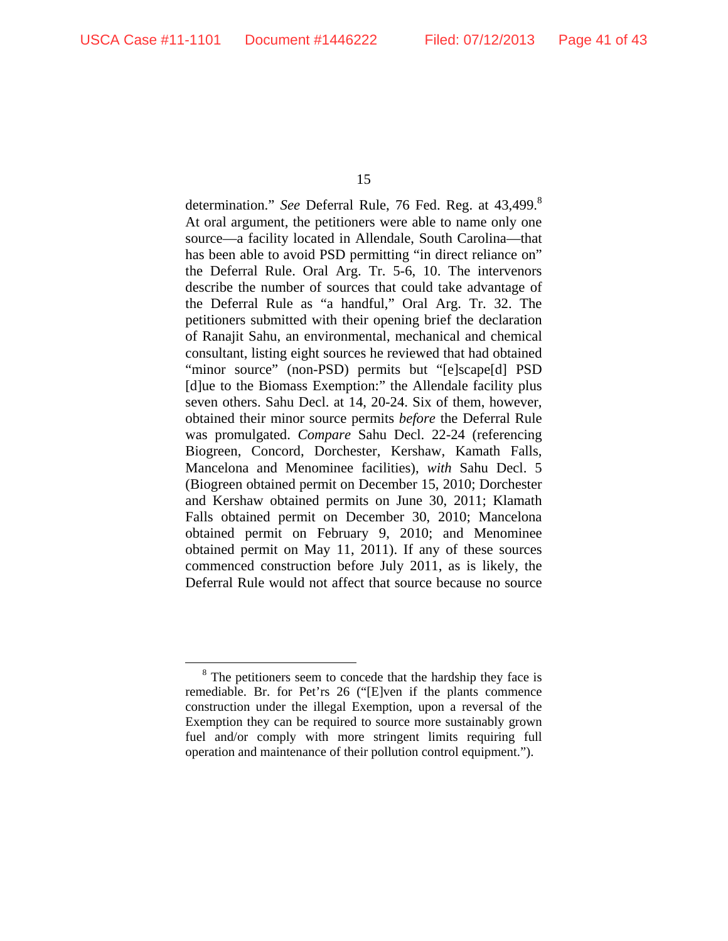determination." *See* Deferral Rule, 76 Fed. Reg. at 43,499.<sup>8</sup> At oral argument, the petitioners were able to name only one source—a facility located in Allendale, South Carolina—that has been able to avoid PSD permitting "in direct reliance on" the Deferral Rule. Oral Arg. Tr. 5-6, 10. The intervenors describe the number of sources that could take advantage of the Deferral Rule as "a handful," Oral Arg. Tr. 32. The petitioners submitted with their opening brief the declaration of Ranajit Sahu, an environmental, mechanical and chemical consultant, listing eight sources he reviewed that had obtained "minor source" (non-PSD) permits but "[e]scape[d] PSD [d]ue to the Biomass Exemption:" the Allendale facility plus seven others. Sahu Decl. at 14, 20-24. Six of them, however, obtained their minor source permits *before* the Deferral Rule was promulgated. *Compare* Sahu Decl. 22-24 (referencing Biogreen, Concord, Dorchester, Kershaw, Kamath Falls, Mancelona and Menominee facilities), *with* Sahu Decl. 5 (Biogreen obtained permit on December 15, 2010; Dorchester and Kershaw obtained permits on June 30, 2011; Klamath Falls obtained permit on December 30, 2010; Mancelona obtained permit on February 9, 2010; and Menominee obtained permit on May 11, 2011). If any of these sources commenced construction before July 2011, as is likely, the Deferral Rule would not affect that source because no source

<sup>&</sup>lt;sup>8</sup> The petitioners seem to concede that the hardship they face is remediable. Br. for Pet'rs 26 ("[E]ven if the plants commence construction under the illegal Exemption, upon a reversal of the Exemption they can be required to source more sustainably grown fuel and/or comply with more stringent limits requiring full operation and maintenance of their pollution control equipment.").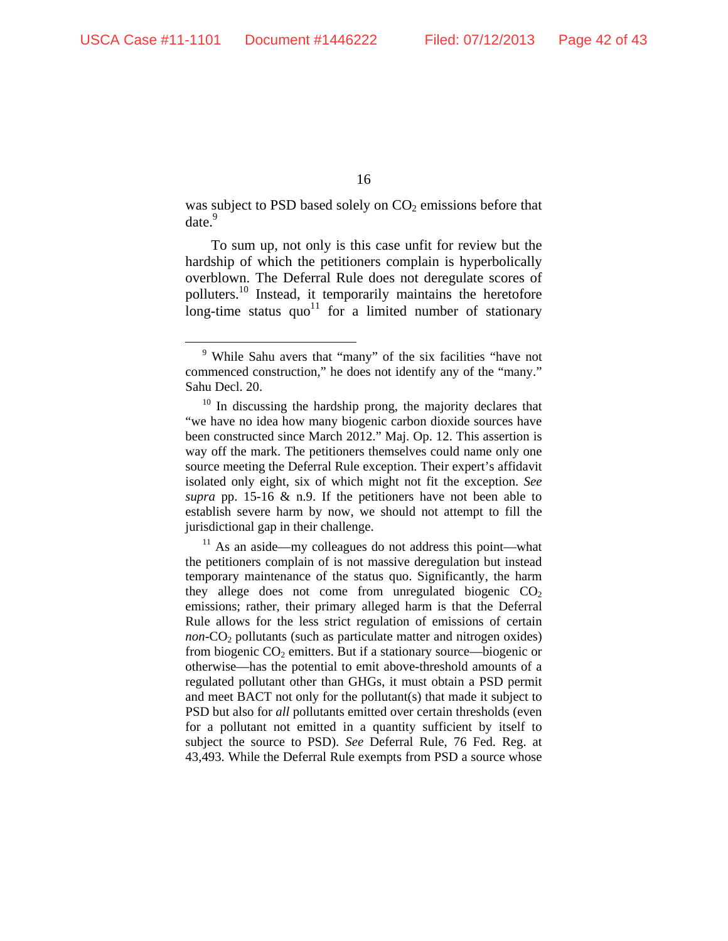was subject to PSD based solely on  $CO<sub>2</sub>$  emissions before that date.<sup>9</sup>

To sum up, not only is this case unfit for review but the hardship of which the petitioners complain is hyperbolically overblown. The Deferral Rule does not deregulate scores of polluters.<sup>10</sup> Instead, it temporarily maintains the heretofore long-time status  $quo<sup>11</sup>$  for a limited number of stationary

 $11$  As an aside—my colleagues do not address this point—what the petitioners complain of is not massive deregulation but instead temporary maintenance of the status quo. Significantly, the harm they allege does not come from unregulated biogenic  $CO<sub>2</sub>$ emissions; rather, their primary alleged harm is that the Deferral Rule allows for the less strict regulation of emissions of certain *non*- $CO<sub>2</sub>$  pollutants (such as particulate matter and nitrogen oxides) from biogenic  $CO<sub>2</sub>$  emitters. But if a stationary source—biogenic or otherwise—has the potential to emit above-threshold amounts of a regulated pollutant other than GHGs, it must obtain a PSD permit and meet BACT not only for the pollutant(s) that made it subject to PSD but also for *all* pollutants emitted over certain thresholds (even for a pollutant not emitted in a quantity sufficient by itself to subject the source to PSD). *See* Deferral Rule, 76 Fed. Reg. at 43,493. While the Deferral Rule exempts from PSD a source whose

 <sup>9</sup> While Sahu avers that "many" of the six facilities "have not commenced construction," he does not identify any of the "many." Sahu Decl. 20.

<sup>&</sup>lt;sup>10</sup> In discussing the hardship prong, the majority declares that "we have no idea how many biogenic carbon dioxide sources have been constructed since March 2012." Maj. Op. 12. This assertion is way off the mark. The petitioners themselves could name only one source meeting the Deferral Rule exception. Their expert's affidavit isolated only eight, six of which might not fit the exception. *See supra* pp. 15-16 & n.9. If the petitioners have not been able to establish severe harm by now, we should not attempt to fill the jurisdictional gap in their challenge.